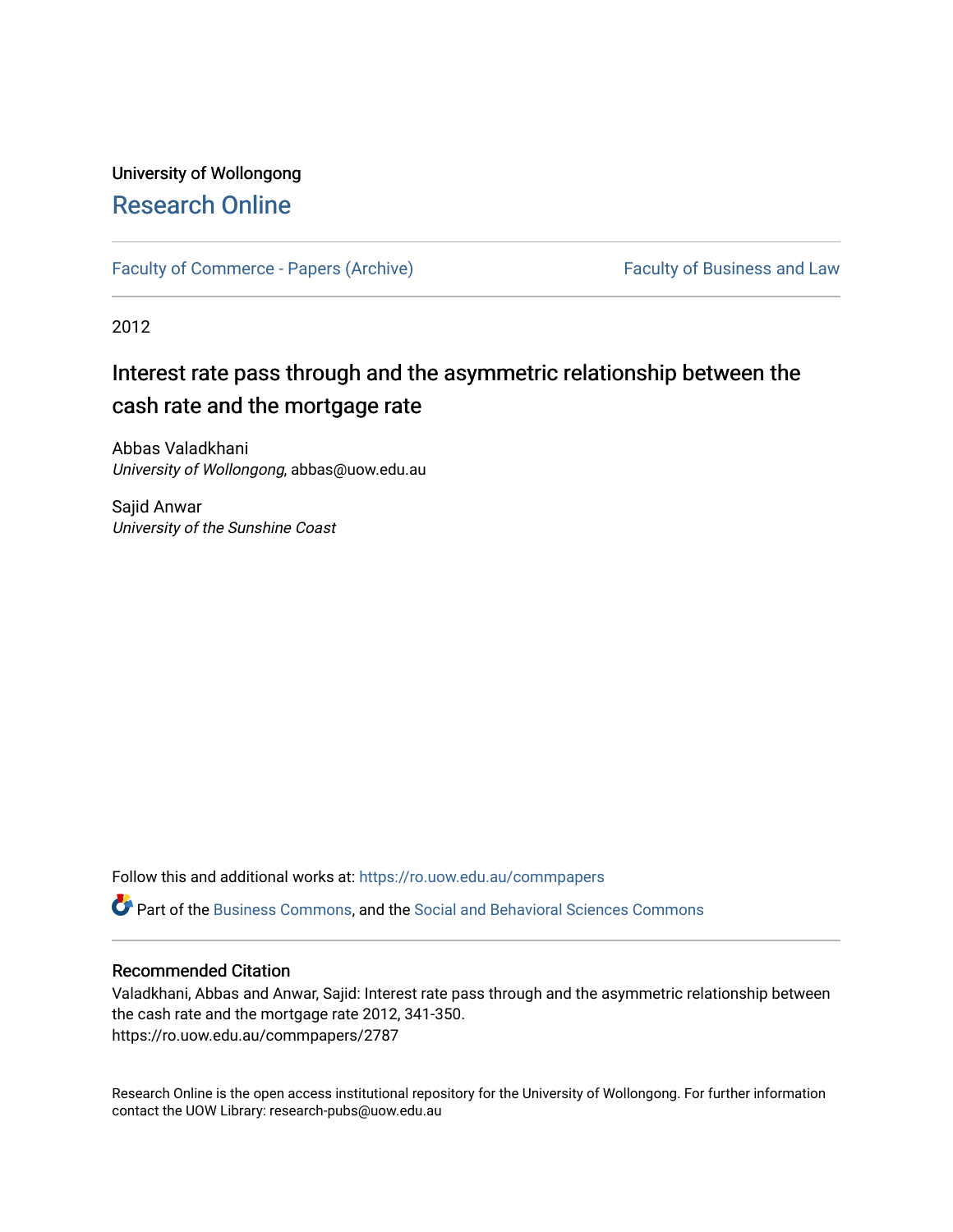# University of Wollongong [Research Online](https://ro.uow.edu.au/)

[Faculty of Commerce - Papers \(Archive\)](https://ro.uow.edu.au/commpapers) Faculty of Business and Law

2012

# Interest rate pass through and the asymmetric relationship between the cash rate and the mortgage rate

Abbas Valadkhani University of Wollongong, abbas@uow.edu.au

Sajid Anwar University of the Sunshine Coast

Follow this and additional works at: [https://ro.uow.edu.au/commpapers](https://ro.uow.edu.au/commpapers?utm_source=ro.uow.edu.au%2Fcommpapers%2F2787&utm_medium=PDF&utm_campaign=PDFCoverPages) 

Part of the [Business Commons](http://network.bepress.com/hgg/discipline/622?utm_source=ro.uow.edu.au%2Fcommpapers%2F2787&utm_medium=PDF&utm_campaign=PDFCoverPages), and the [Social and Behavioral Sciences Commons](http://network.bepress.com/hgg/discipline/316?utm_source=ro.uow.edu.au%2Fcommpapers%2F2787&utm_medium=PDF&utm_campaign=PDFCoverPages) 

#### Recommended Citation

Valadkhani, Abbas and Anwar, Sajid: Interest rate pass through and the asymmetric relationship between the cash rate and the mortgage rate 2012, 341-350. https://ro.uow.edu.au/commpapers/2787

Research Online is the open access institutional repository for the University of Wollongong. For further information contact the UOW Library: research-pubs@uow.edu.au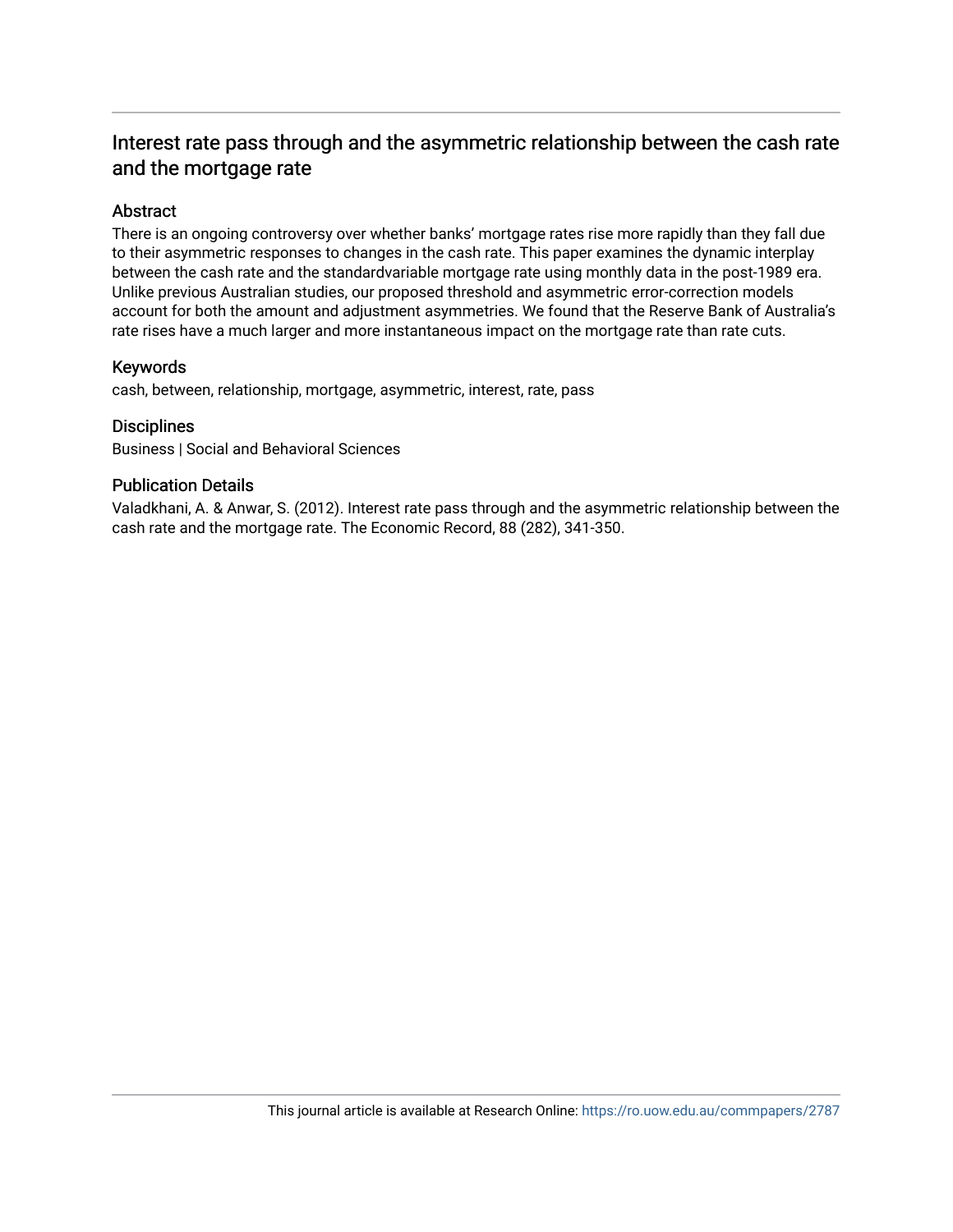# Interest rate pass through and the asymmetric relationship between the cash rate and the mortgage rate

# Abstract

There is an ongoing controversy over whether banks' mortgage rates rise more rapidly than they fall due to their asymmetric responses to changes in the cash rate. This paper examines the dynamic interplay between the cash rate and the standardvariable mortgage rate using monthly data in the post-1989 era. Unlike previous Australian studies, our proposed threshold and asymmetric error-correction models account for both the amount and adjustment asymmetries. We found that the Reserve Bank of Australia's rate rises have a much larger and more instantaneous impact on the mortgage rate than rate cuts.

#### Keywords

cash, between, relationship, mortgage, asymmetric, interest, rate, pass

#### **Disciplines**

Business | Social and Behavioral Sciences

#### Publication Details

Valadkhani, A. & Anwar, S. (2012). Interest rate pass through and the asymmetric relationship between the cash rate and the mortgage rate. The Economic Record, 88 (282), 341-350.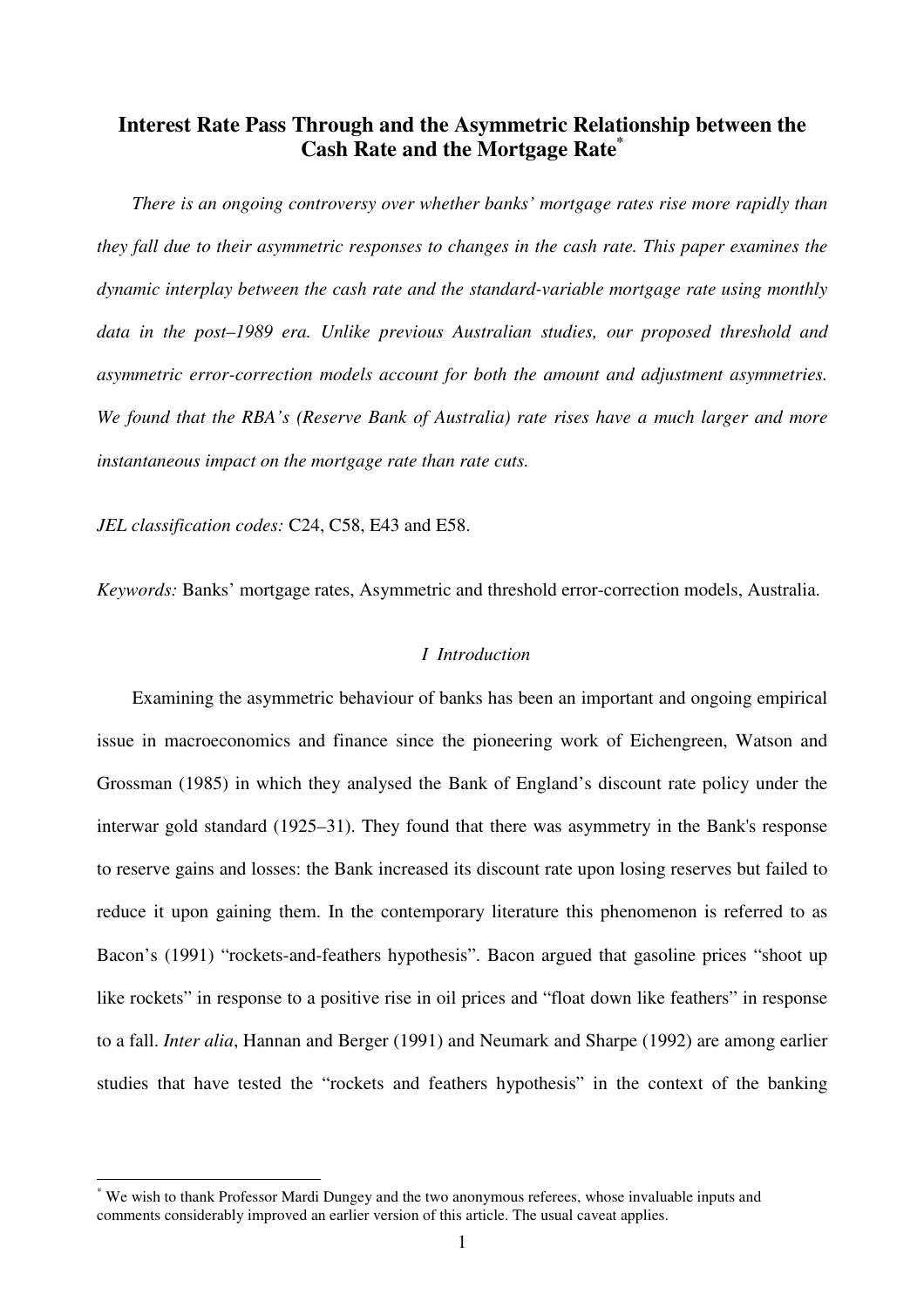# **Interest Rate Pass Through and the Asymmetric Relationship between the Cash Rate and the Mortgage Rate\***

*There is an ongoing controversy over whether banks' mortgage rates rise more rapidly than they fall due to their asymmetric responses to changes in the cash rate. This paper examines the dynamic interplay between the cash rate and the standard-variable mortgage rate using monthly data in the post–1989 era. Unlike previous Australian studies, our proposed threshold and asymmetric error-correction models account for both the amount and adjustment asymmetries. We found that the RBA's (Reserve Bank of Australia) rate rises have a much larger and more instantaneous impact on the mortgage rate than rate cuts.* 

*JEL classification codes:* C24, C58, E43 and E58.

 $\overline{a}$ 

*Keywords:* Banks' mortgage rates, Asymmetric and threshold error-correction models, Australia.

### *I Introduction*

Examining the asymmetric behaviour of banks has been an important and ongoing empirical issue in macroeconomics and finance since the pioneering work of Eichengreen, Watson and Grossman (1985) in which they analysed the Bank of England's discount rate policy under the interwar gold standard (1925*–*31). They found that there was asymmetry in the Bank's response to reserve gains and losses: the Bank increased its discount rate upon losing reserves but failed to reduce it upon gaining them. In the contemporary literature this phenomenon is referred to as Bacon's (1991) "rockets-and-feathers hypothesis". Bacon argued that gasoline prices "shoot up like rockets" in response to a positive rise in oil prices and "float down like feathers" in response to a fall. *Inter alia*, Hannan and Berger (1991) and Neumark and Sharpe (1992) are among earlier studies that have tested the "rockets and feathers hypothesis" in the context of the banking

<sup>\*</sup> We wish to thank Professor Mardi Dungey and the two anonymous referees, whose invaluable inputs and comments considerably improved an earlier version of this article. The usual caveat applies.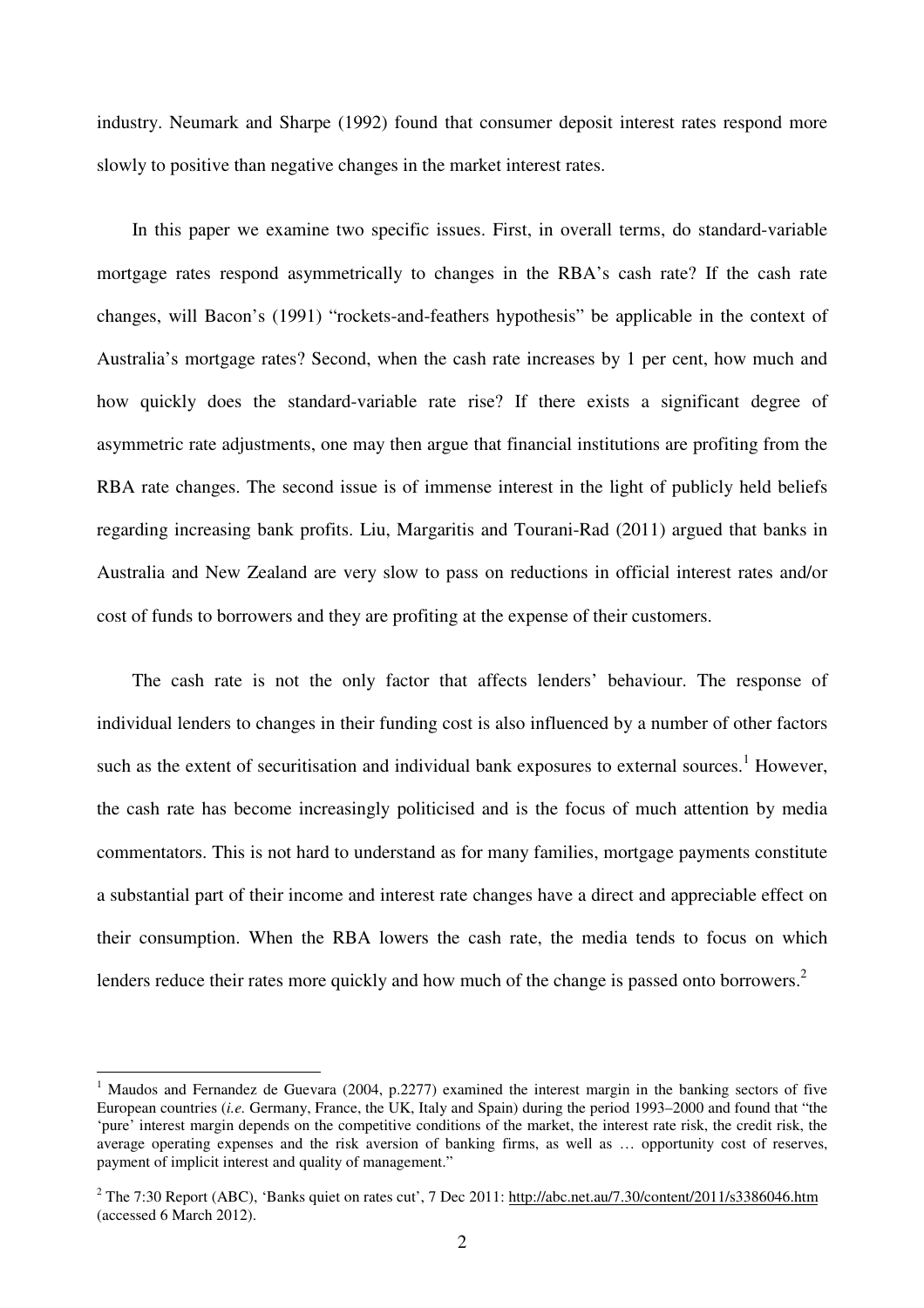industry. Neumark and Sharpe (1992) found that consumer deposit interest rates respond more slowly to positive than negative changes in the market interest rates.

In this paper we examine two specific issues. First, in overall terms, do standard-variable mortgage rates respond asymmetrically to changes in the RBA's cash rate? If the cash rate changes, will Bacon's (1991) "rockets-and-feathers hypothesis" be applicable in the context of Australia's mortgage rates? Second, when the cash rate increases by 1 per cent, how much and how quickly does the standard-variable rate rise? If there exists a significant degree of asymmetric rate adjustments, one may then argue that financial institutions are profiting from the RBA rate changes. The second issue is of immense interest in the light of publicly held beliefs regarding increasing bank profits. Liu, Margaritis and Tourani-Rad (2011) argued that banks in Australia and New Zealand are very slow to pass on reductions in official interest rates and/or cost of funds to borrowers and they are profiting at the expense of their customers.

The cash rate is not the only factor that affects lenders' behaviour. The response of individual lenders to changes in their funding cost is also influenced by a number of other factors such as the extent of securitisation and individual bank exposures to external sources.<sup>1</sup> However, the cash rate has become increasingly politicised and is the focus of much attention by media commentators. This is not hard to understand as for many families, mortgage payments constitute a substantial part of their income and interest rate changes have a direct and appreciable effect on their consumption. When the RBA lowers the cash rate, the media tends to focus on which lenders reduce their rates more quickly and how much of the change is passed onto borrowers.<sup>2</sup>

<sup>&</sup>lt;sup>1</sup> Maudos and Fernandez de Guevara (2004, p.2277) examined the interest margin in the banking sectors of five European countries (*i.e.* Germany, France, the UK, Italy and Spain) during the period 1993–2000 and found that "the 'pure' interest margin depends on the competitive conditions of the market, the interest rate risk, the credit risk, the average operating expenses and the risk aversion of banking firms, as well as … opportunity cost of reserves, payment of implicit interest and quality of management."

<sup>&</sup>lt;sup>2</sup> The 7:30 Report (ABC), 'Banks quiet on rates cut', 7 Dec 2011: http://abc.net.au/7.30/content/2011/s3386046.htm (accessed 6 March 2012).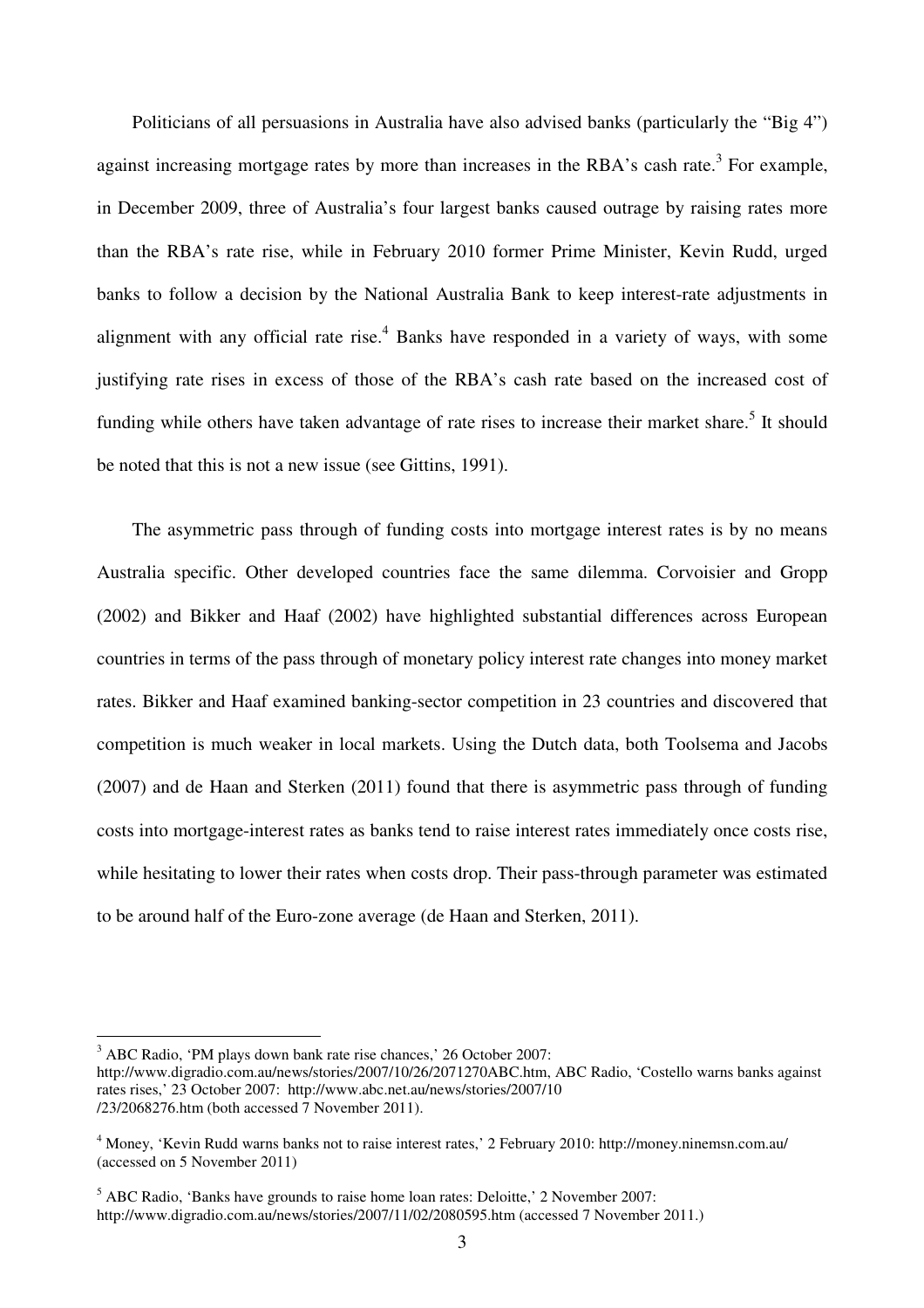Politicians of all persuasions in Australia have also advised banks (particularly the "Big 4") against increasing mortgage rates by more than increases in the RBA's cash rate.<sup>3</sup> For example, in December 2009, three of Australia's four largest banks caused outrage by raising rates more than the RBA's rate rise, while in February 2010 former Prime Minister, Kevin Rudd, urged banks to follow a decision by the National Australia Bank to keep interest-rate adjustments in alignment with any official rate rise. $4$  Banks have responded in a variety of ways, with some justifying rate rises in excess of those of the RBA's cash rate based on the increased cost of funding while others have taken advantage of rate rises to increase their market share.<sup>5</sup> It should be noted that this is not a new issue (see Gittins, 1991).

The asymmetric pass through of funding costs into mortgage interest rates is by no means Australia specific. Other developed countries face the same dilemma. Corvoisier and Gropp (2002) and Bikker and Haaf (2002) have highlighted substantial differences across European countries in terms of the pass through of monetary policy interest rate changes into money market rates. Bikker and Haaf examined banking-sector competition in 23 countries and discovered that competition is much weaker in local markets. Using the Dutch data, both Toolsema and Jacobs (2007) and de Haan and Sterken (2011) found that there is asymmetric pass through of funding costs into mortgage-interest rates as banks tend to raise interest rates immediately once costs rise, while hesitating to lower their rates when costs drop. Their pass-through parameter was estimated to be around half of the Euro-zone average (de Haan and Sterken, 2011).

 $3$  ABC Radio, 'PM plays down bank rate rise chances,' 26 October 2007:

http://www.digradio.com.au/news/stories/2007/10/26/2071270ABC.htm, ABC Radio, 'Costello warns banks against rates rises,' 23 October 2007: http://www.abc.net.au/news/stories/2007/10 /23/2068276.htm (both accessed 7 November 2011).

<sup>4</sup> Money, 'Kevin Rudd warns banks not to raise interest rates,' 2 February 2010: http://money.ninemsn.com.au/ (accessed on 5 November 2011)

 $<sup>5</sup>$  ABC Radio, 'Banks have grounds to raise home loan rates: Deloitte,' 2 November 2007:</sup> http://www.digradio.com.au/news/stories/2007/11/02/2080595.htm (accessed 7 November 2011.)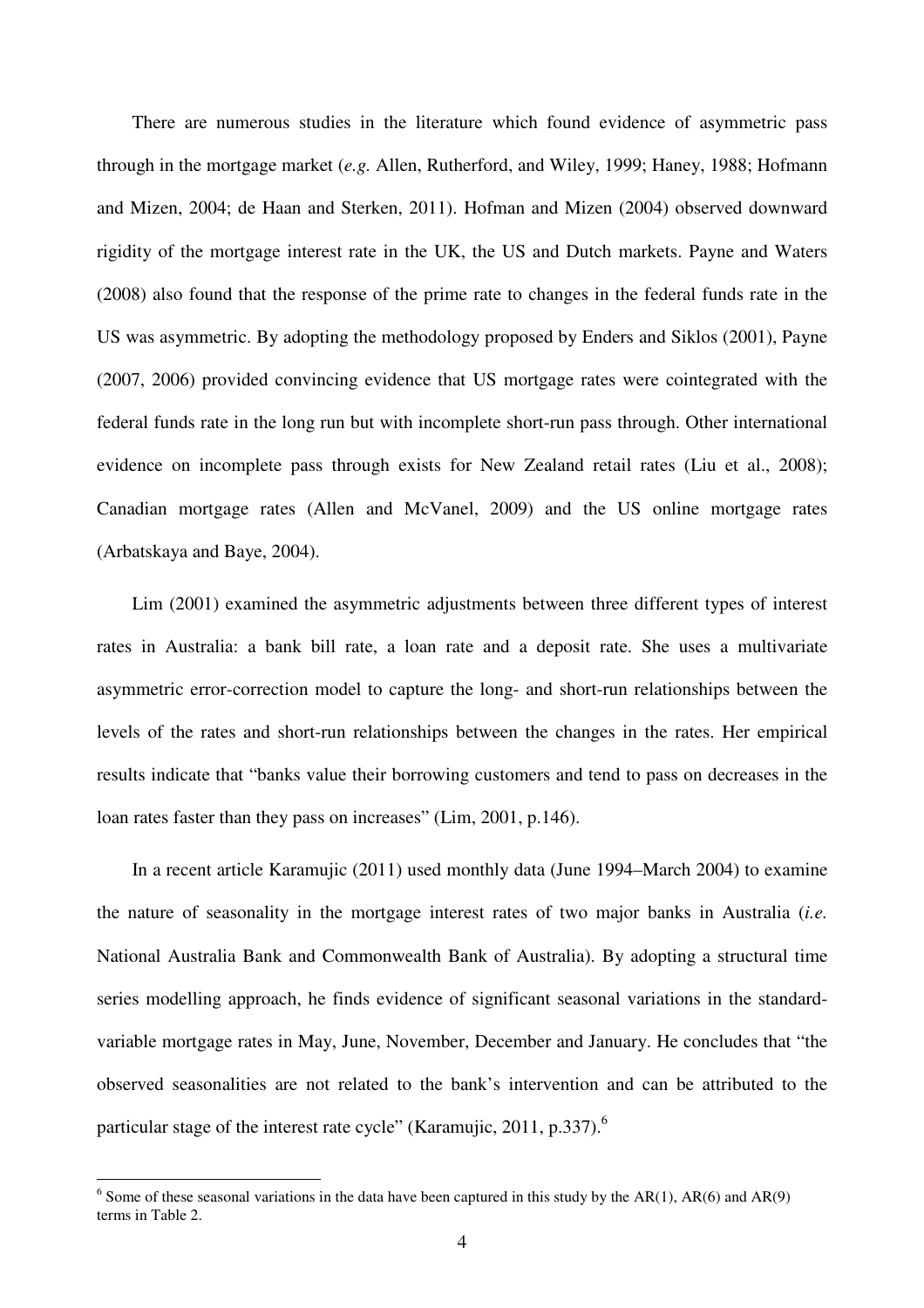There are numerous studies in the literature which found evidence of asymmetric pass through in the mortgage market (*e.g.* Allen, Rutherford, and Wiley, 1999; Haney, 1988; Hofmann and Mizen, 2004; de Haan and Sterken, 2011). Hofman and Mizen (2004) observed downward rigidity of the mortgage interest rate in the UK, the US and Dutch markets. Payne and Waters (2008) also found that the response of the prime rate to changes in the federal funds rate in the US was asymmetric. By adopting the methodology proposed by Enders and Siklos (2001), Payne (2007, 2006) provided convincing evidence that US mortgage rates were cointegrated with the federal funds rate in the long run but with incomplete short-run pass through. Other international evidence on incomplete pass through exists for New Zealand retail rates (Liu et al., 2008); Canadian mortgage rates (Allen and McVanel, 2009) and the US online mortgage rates (Arbatskaya and Baye, 2004).

Lim (2001) examined the asymmetric adjustments between three different types of interest rates in Australia: a bank bill rate, a loan rate and a deposit rate. She uses a multivariate asymmetric error-correction model to capture the long- and short-run relationships between the levels of the rates and short-run relationships between the changes in the rates. Her empirical results indicate that "banks value their borrowing customers and tend to pass on decreases in the loan rates faster than they pass on increases" (Lim, 2001, p.146).

In a recent article Karamujic (2011) used monthly data (June 1994–March 2004) to examine the nature of seasonality in the mortgage interest rates of two major banks in Australia (*i.e.* National Australia Bank and Commonwealth Bank of Australia). By adopting a structural time series modelling approach, he finds evidence of significant seasonal variations in the standardvariable mortgage rates in May, June, November, December and January. He concludes that "the observed seasonalities are not related to the bank's intervention and can be attributed to the particular stage of the interest rate cycle" (Karamujic, 2011, p.337). $^6$ 

<sup>&</sup>lt;sup>6</sup> Some of these seasonal variations in the data have been captured in this study by the AR(1), AR(6) and AR(9) terms in Table 2.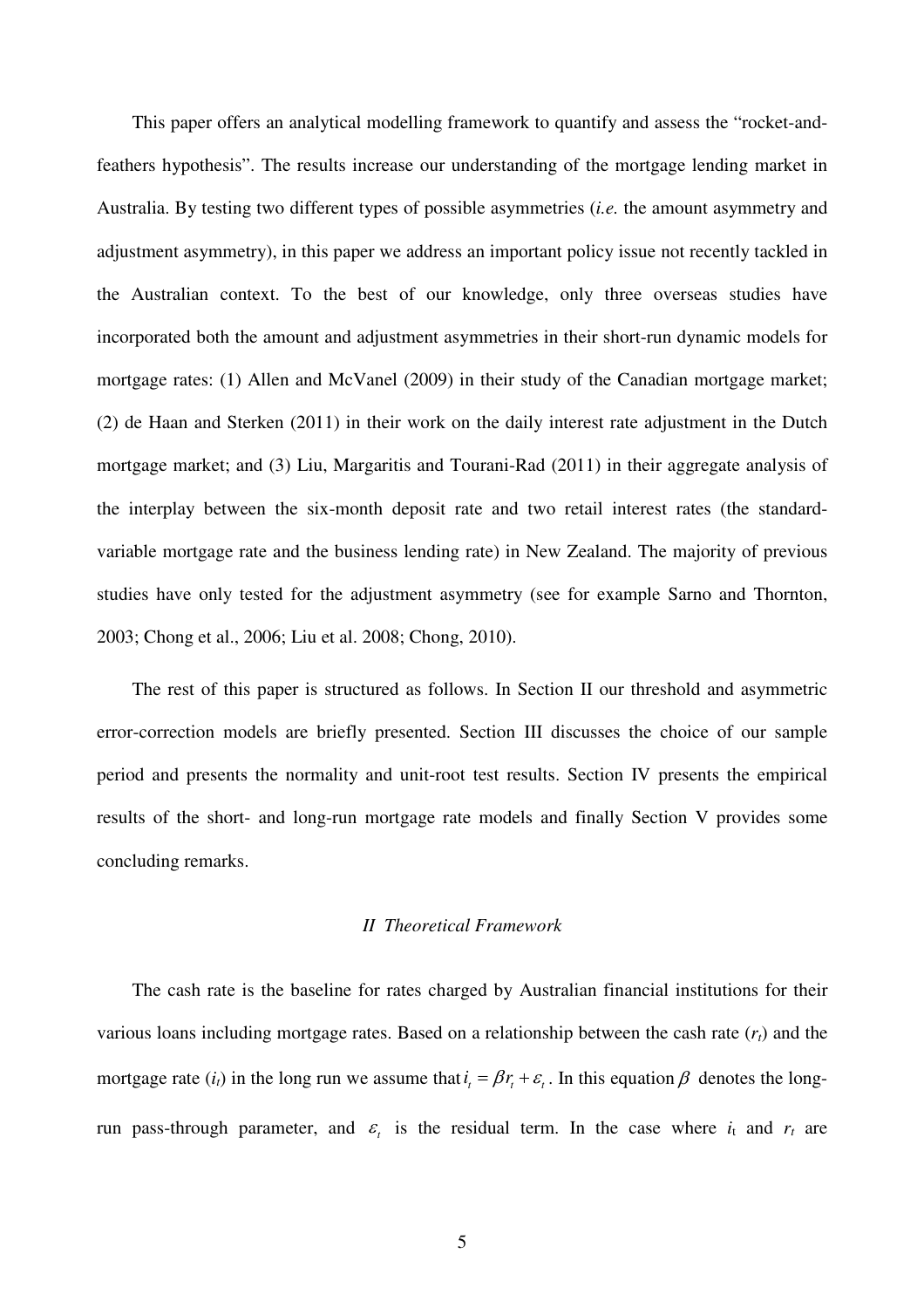This paper offers an analytical modelling framework to quantify and assess the "rocket-andfeathers hypothesis". The results increase our understanding of the mortgage lending market in Australia. By testing two different types of possible asymmetries (*i.e.* the amount asymmetry and adjustment asymmetry), in this paper we address an important policy issue not recently tackled in the Australian context. To the best of our knowledge, only three overseas studies have incorporated both the amount and adjustment asymmetries in their short-run dynamic models for mortgage rates: (1) Allen and McVanel (2009) in their study of the Canadian mortgage market; (2) de Haan and Sterken (2011) in their work on the daily interest rate adjustment in the Dutch mortgage market; and (3) Liu, Margaritis and Tourani-Rad (2011) in their aggregate analysis of the interplay between the six-month deposit rate and two retail interest rates (the standardvariable mortgage rate and the business lending rate) in New Zealand. The majority of previous studies have only tested for the adjustment asymmetry (see for example Sarno and Thornton, 2003; Chong et al., 2006; Liu et al. 2008; Chong, 2010).

The rest of this paper is structured as follows. In Section II our threshold and asymmetric error-correction models are briefly presented. Section III discusses the choice of our sample period and presents the normality and unit-root test results. Section IV presents the empirical results of the short- and long-run mortgage rate models and finally Section V provides some concluding remarks.

#### *II Theoretical Framework*

The cash rate is the baseline for rates charged by Australian financial institutions for their various loans including mortgage rates. Based on a relationship between the cash rate (*rt*) and the mortgage rate  $(i_t)$  in the long run we assume that  $i_t = \beta r_t + \varepsilon_t$ . In this equation  $\beta$  denotes the longrun pass-through parameter, and  $\varepsilon$  is the residual term. In the case where  $i_t$  and  $r_t$  are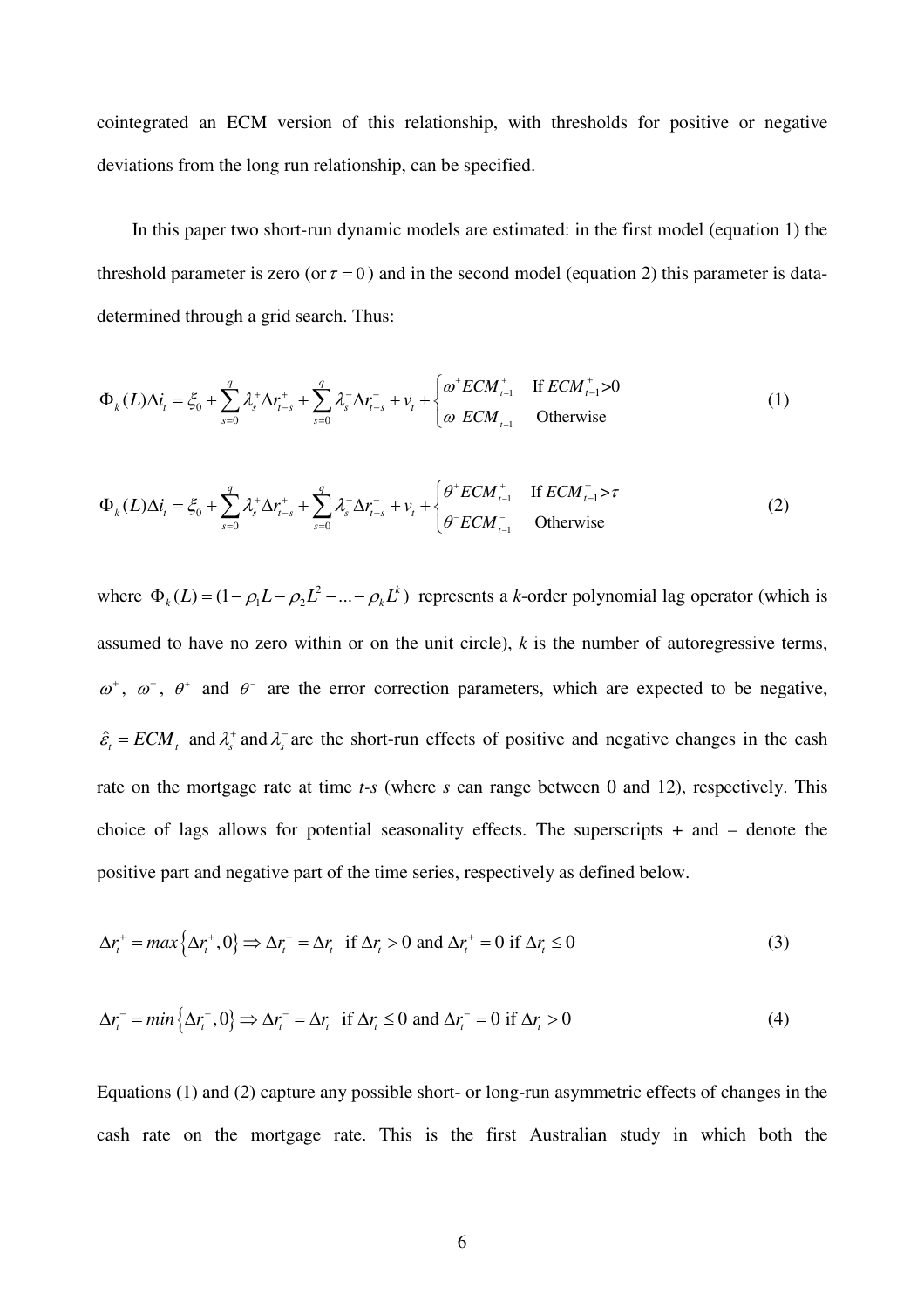cointegrated an ECM version of this relationship, with thresholds for positive or negative deviations from the long run relationship, can be specified.

In this paper two short-run dynamic models are estimated: in the first model (equation 1) the threshold parameter is zero (or  $\tau = 0$ ) and in the second model (equation 2) this parameter is datadetermined through a grid search. Thus:

$$
\Phi_k(L)\Delta i_t = \xi_0 + \sum_{s=0}^q \lambda_s^+ \Delta r_{t-s}^+ + \sum_{s=0}^q \lambda_s^- \Delta r_{t-s}^- + v_t + \begin{cases} \omega^+ E C M_{t-1}^+ & \text{If } E C M_{t-1}^+ > 0\\ \omega^- E C M_{t-1}^- & \text{Otherwise} \end{cases}
$$
(1)

$$
\Phi_k(L)\Delta i_t = \xi_0 + \sum_{s=0}^q \lambda_s^+ \Delta r_{t-s}^+ + \sum_{s=0}^q \lambda_s^- \Delta r_{t-s}^- + v_t + \begin{cases} \theta^+ E C M_{t-1}^+ & \text{If } E C M_{t-1}^+ > \tau \\ \theta^- E C M_{t-1}^- & \text{Otherwise} \end{cases}
$$
 (2)

where  $\Phi_k(L) = (1 - \rho_1 L - \rho_2 L^2 - ... - \rho_k L^k)$  represents a *k*-order polynomial lag operator (which is assumed to have no zero within or on the unit circle), *k* is the number of autoregressive terms,  $\omega^+$ ,  $\omega^-$ ,  $\theta^+$  and  $\theta^-$  are the error correction parameters, which are expected to be negative,  $\hat{\epsilon}_t = ECM_t$  and  $\lambda_s^+$  and  $\lambda_s^-$  are the short-run effects of positive and negative changes in the cash rate on the mortgage rate at time *t-s* (where *s* can range between 0 and 12), respectively. This choice of lags allows for potential seasonality effects. The superscripts + and – denote the positive part and negative part of the time series, respectively as defined below.

$$
\Delta r_t^+ = \max\left\{\Delta r_t^+, 0\right\} \Rightarrow \Delta r_t^+ = \Delta r_t \quad \text{if } \Delta r_t > 0 \text{ and } \Delta r_t^+ = 0 \text{ if } \Delta r_t \le 0 \tag{3}
$$

$$
\Delta r_t^- = \min\left\{\Delta r_t^-, 0\right\} \Rightarrow \Delta r_t^- = \Delta r_t \quad \text{if } \Delta r_t \le 0 \text{ and } \Delta r_t^- = 0 \text{ if } \Delta r_t > 0 \tag{4}
$$

Equations (1) and (2) capture any possible short- or long-run asymmetric effects of changes in the cash rate on the mortgage rate. This is the first Australian study in which both the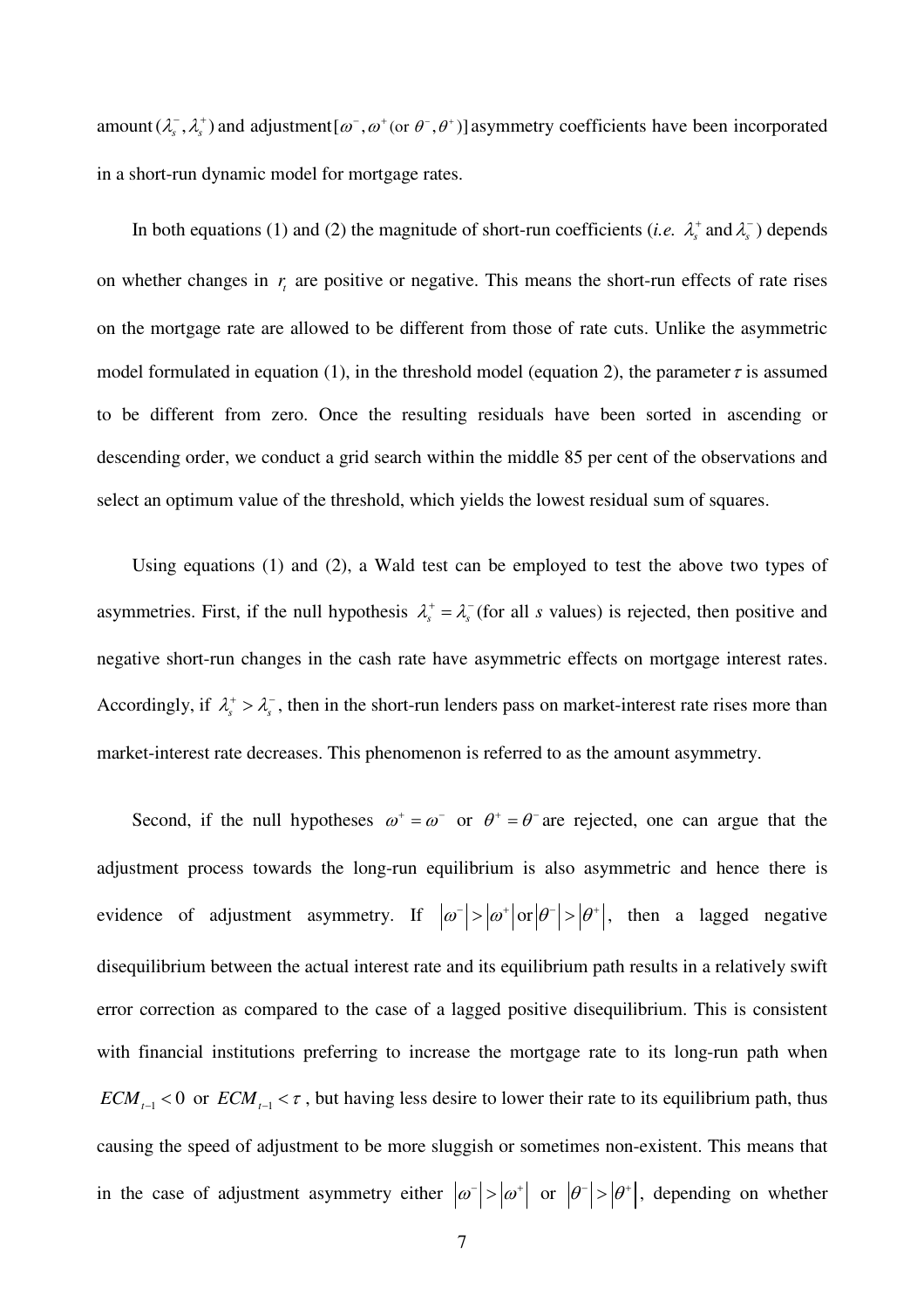amount  $(\lambda_s^-, \lambda_s^+)$  and adjustment  $[\omega^-, \omega^+]$  or  $\theta^-, \theta^+)$  asymmetry coefficients have been incorporated in a short-run dynamic model for mortgage rates.

In both equations (1) and (2) the magnitude of short-run coefficients (*i.e.*  $\lambda_s^+$  and  $\lambda_s^-$ ) depends on whether changes in  $r<sub>t</sub>$  are positive or negative. This means the short-run effects of rate rises on the mortgage rate are allowed to be different from those of rate cuts. Unlike the asymmetric model formulated in equation (1), in the threshold model (equation 2), the parameter  $\tau$  is assumed to be different from zero. Once the resulting residuals have been sorted in ascending or descending order, we conduct a grid search within the middle 85 per cent of the observations and select an optimum value of the threshold, which yields the lowest residual sum of squares.

Using equations (1) and (2), a Wald test can be employed to test the above two types of asymmetries. First, if the null hypothesis  $\lambda_s^+ = \lambda_s^-$  (for all *s* values) is rejected, then positive and negative short-run changes in the cash rate have asymmetric effects on mortgage interest rates. Accordingly, if  $\lambda_s^+ > \lambda_s^-$ , then in the short-run lenders pass on market-interest rate rises more than market-interest rate decreases. This phenomenon is referred to as the amount asymmetry.

Second, if the null hypotheses  $\omega^+ = \omega^-$  or  $\theta^+ = \theta^-$  are rejected, one can argue that the adjustment process towards the long-run equilibrium is also asymmetric and hence there is evidence of adjustment asymmetry. If  $|\omega^-| > |\omega^+|$  or  $|\theta^-| > |\theta^+|$ , then a lagged negative disequilibrium between the actual interest rate and its equilibrium path results in a relatively swift error correction as compared to the case of a lagged positive disequilibrium. This is consistent with financial institutions preferring to increase the mortgage rate to its long-run path when  $ECM_{t-1}$  < 0 or  $ECM_{t-1}$  <  $\tau$ , but having less desire to lower their rate to its equilibrium path, thus causing the speed of adjustment to be more sluggish or sometimes non-existent. This means that in the case of adjustment asymmetry either  $|\omega^-| > |\omega^+|$  or  $|\theta^-| > |\theta^+|$ , depending on whether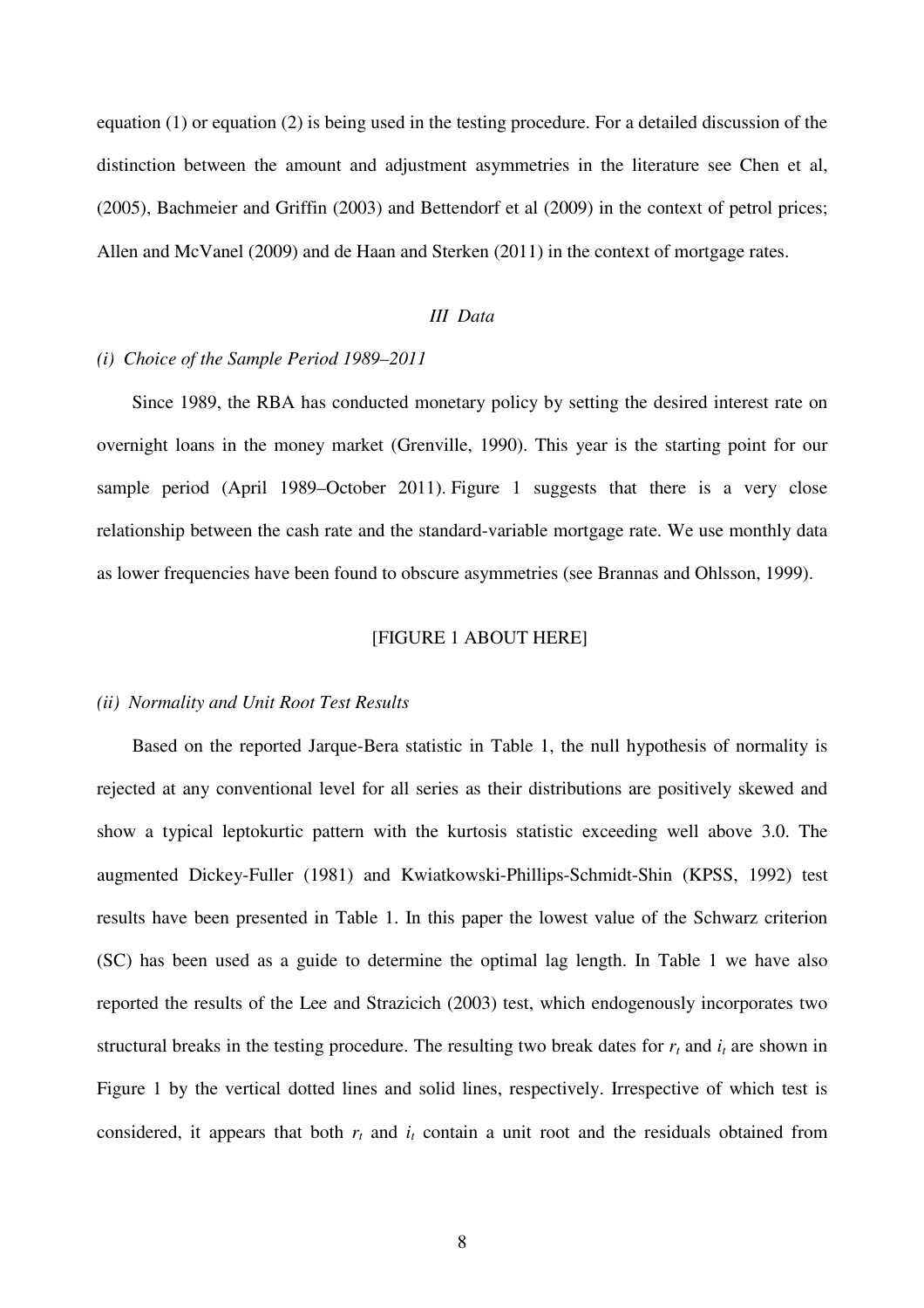equation (1) or equation (2) is being used in the testing procedure. For a detailed discussion of the distinction between the amount and adjustment asymmetries in the literature see Chen et al, (2005), Bachmeier and Griffin (2003) and Bettendorf et al (2009) in the context of petrol prices; Allen and McVanel (2009) and de Haan and Sterken (2011) in the context of mortgage rates.

# *III Data*

#### *(i) Choice of the Sample Period 1989–2011*

Since 1989, the RBA has conducted monetary policy by setting the desired interest rate on overnight loans in the money market (Grenville, 1990). This year is the starting point for our sample period (April 1989*–*October 2011). Figure 1 suggests that there is a very close relationship between the cash rate and the standard-variable mortgage rate. We use monthly data as lower frequencies have been found to obscure asymmetries (see Brannas and Ohlsson, 1999).

#### [FIGURE 1 ABOUT HERE]

#### *(ii) Normality and Unit Root Test Results*

Based on the reported Jarque-Bera statistic in Table 1, the null hypothesis of normality is rejected at any conventional level for all series as their distributions are positively skewed and show a typical leptokurtic pattern with the kurtosis statistic exceeding well above 3.0. The augmented Dickey-Fuller (1981) and Kwiatkowski-Phillips-Schmidt-Shin (KPSS, 1992) test results have been presented in Table 1. In this paper the lowest value of the Schwarz criterion (SC) has been used as a guide to determine the optimal lag length. In Table 1 we have also reported the results of the Lee and Strazicich (2003) test, which endogenously incorporates two structural breaks in the testing procedure. The resulting two break dates for  $r_t$  and  $i_t$  are shown in Figure 1 by the vertical dotted lines and solid lines, respectively. Irrespective of which test is considered, it appears that both  $r_t$  and  $i_t$  contain a unit root and the residuals obtained from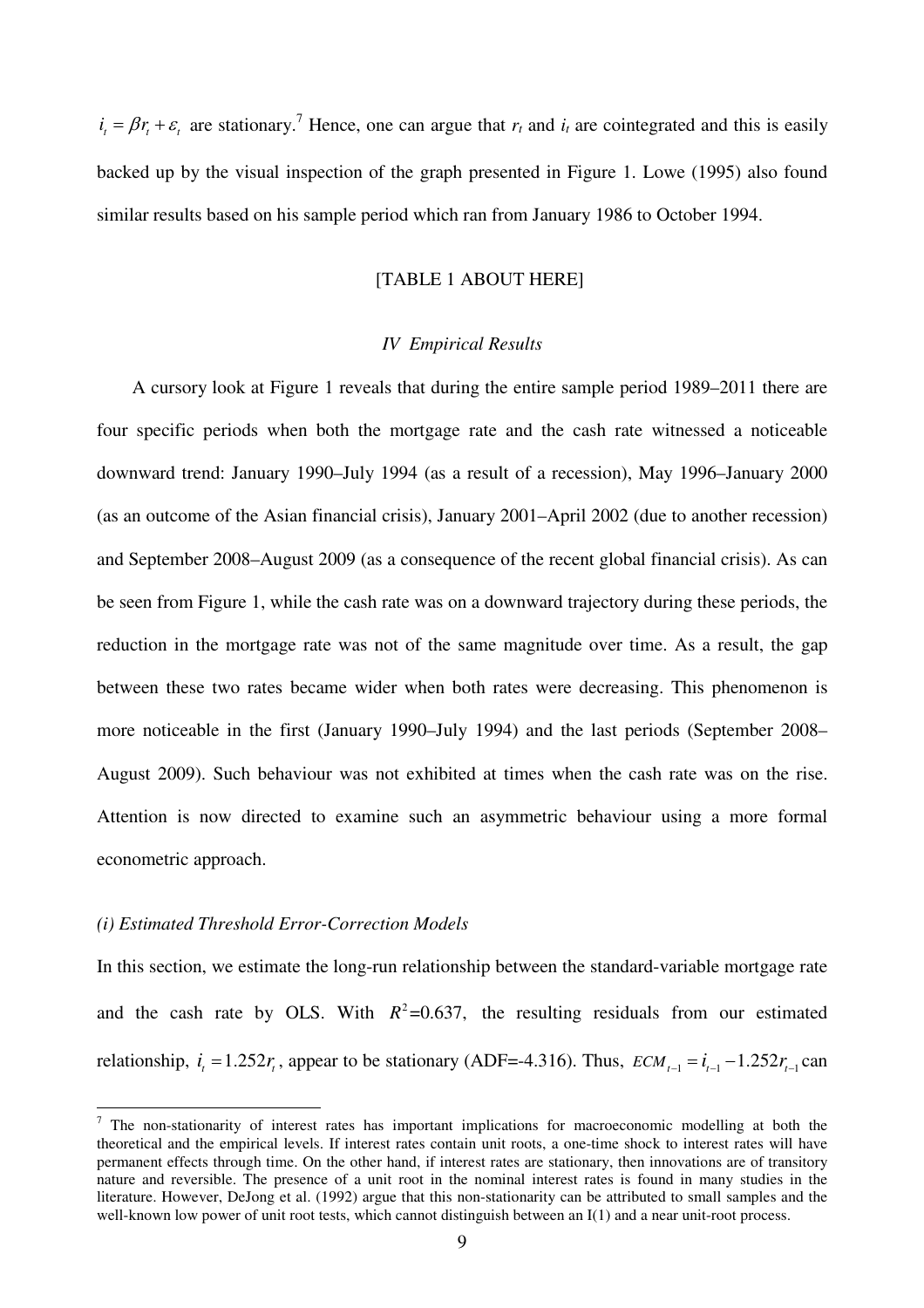$i_t = \beta r_t + \varepsilon_t$  are stationary.<sup>7</sup> Hence, one can argue that  $r_t$  and  $i_t$  are cointegrated and this is easily backed up by the visual inspection of the graph presented in Figure 1. Lowe (1995) also found similar results based on his sample period which ran from January 1986 to October 1994.

# [TABLE 1 ABOUT HERE]

#### *IV Empirical Results*

A cursory look at Figure 1 reveals that during the entire sample period 1989–2011 there are four specific periods when both the mortgage rate and the cash rate witnessed a noticeable downward trend: January 1990–July 1994 (as a result of a recession), May 1996–January 2000 (as an outcome of the Asian financial crisis), January 2001–April 2002 (due to another recession) and September 2008–August 2009 (as a consequence of the recent global financial crisis). As can be seen from Figure 1, while the cash rate was on a downward trajectory during these periods, the reduction in the mortgage rate was not of the same magnitude over time. As a result, the gap between these two rates became wider when both rates were decreasing. This phenomenon is more noticeable in the first (January 1990–July 1994) and the last periods (September 2008– August 2009). Such behaviour was not exhibited at times when the cash rate was on the rise. Attention is now directed to examine such an asymmetric behaviour using a more formal econometric approach.

#### *(i) Estimated Threshold Error-Correction Models*

In this section, we estimate the long-run relationship between the standard-variable mortgage rate and the cash rate by OLS. With  $R^2 = 0.637$ , the resulting residuals from our estimated relationship,  $i_t = 1.252r_t$ , appear to be stationary (ADF=-4.316). Thus,  $ECM_{t-1} = i_{t-1} - 1.252r_{t-1}$  can

<sup>&</sup>lt;sup>7</sup> The non-stationarity of interest rates has important implications for macroeconomic modelling at both the theoretical and the empirical levels. If interest rates contain unit roots, a one-time shock to interest rates will have permanent effects through time. On the other hand, if interest rates are stationary, then innovations are of transitory nature and reversible. The presence of a unit root in the nominal interest rates is found in many studies in the literature. However, DeJong et al. (1992) argue that this non-stationarity can be attributed to small samples and the well-known low power of unit root tests, which cannot distinguish between an I(1) and a near unit-root process.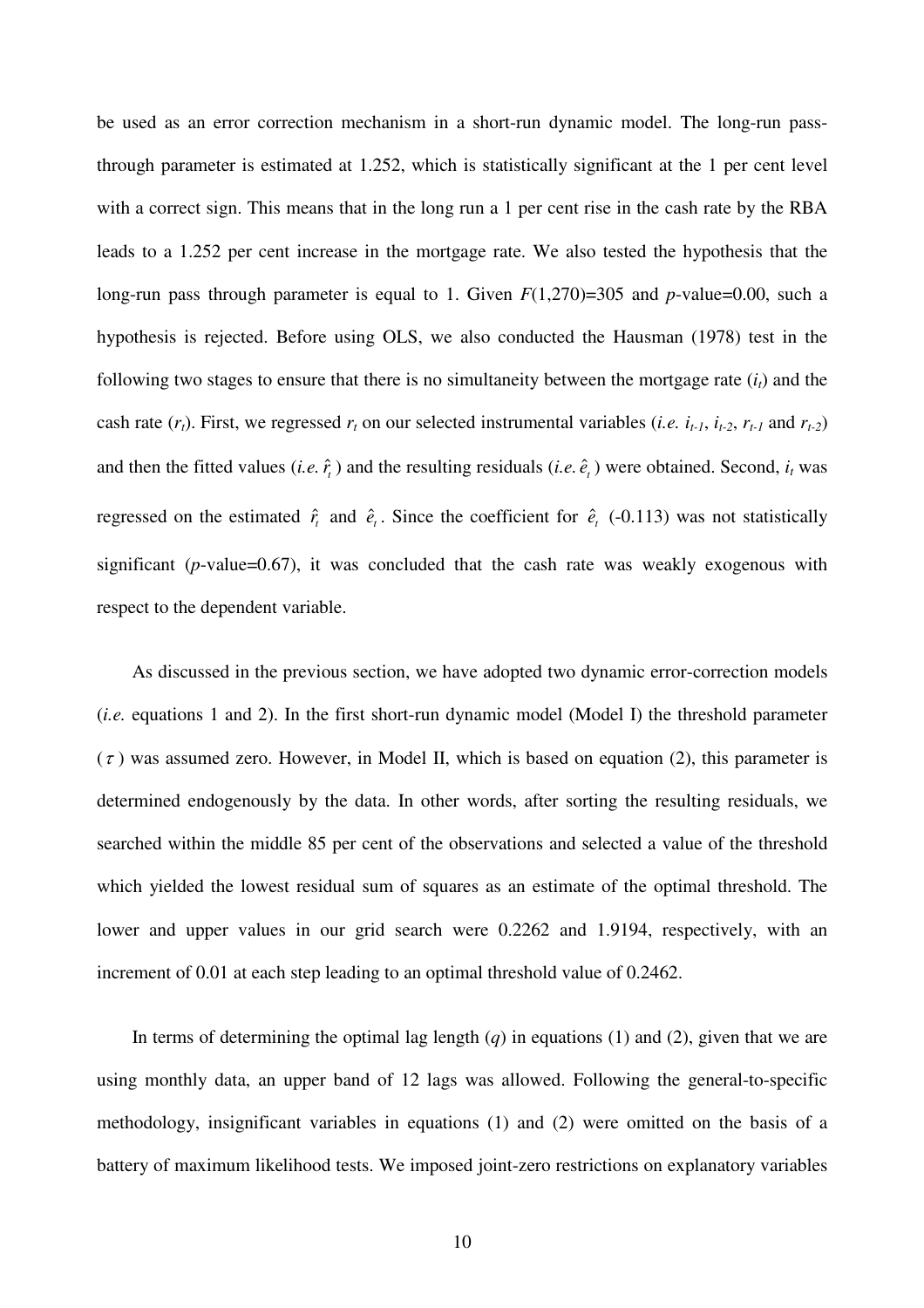be used as an error correction mechanism in a short-run dynamic model. The long-run passthrough parameter is estimated at 1.252, which is statistically significant at the 1 per cent level with a correct sign. This means that in the long run a 1 per cent rise in the cash rate by the RBA leads to a 1.252 per cent increase in the mortgage rate. We also tested the hypothesis that the long-run pass through parameter is equal to 1. Given  $F(1,270)=305$  and *p*-value=0.00, such a hypothesis is rejected. Before using OLS, we also conducted the Hausman (1978) test in the following two stages to ensure that there is no simultaneity between the mortgage rate  $(i<sub>t</sub>)$  and the cash rate  $(r_t)$ . First, we regressed  $r_t$  on our selected instrumental variables (*i.e.*  $i_{t-1}$ ,  $i_{t-2}$ ,  $r_{t-1}$  and  $r_{t-2}$ ) and then the fitted values (*i.e.*  $\hat{r}_t$ ) and the resulting residuals (*i.e.*  $\hat{e}_t$ ) were obtained. Second,  $i_t$  was regressed on the estimated  $\hat{r}_t$  and  $\hat{e}_t$ . Since the coefficient for  $\hat{e}_t$  (-0.113) was not statistically significant (*p*-value=0.67), it was concluded that the cash rate was weakly exogenous with respect to the dependent variable.

As discussed in the previous section, we have adopted two dynamic error-correction models (*i.e.* equations 1 and 2). In the first short-run dynamic model (Model I) the threshold parameter  $(\tau)$  was assumed zero. However, in Model II, which is based on equation (2), this parameter is determined endogenously by the data. In other words, after sorting the resulting residuals, we searched within the middle 85 per cent of the observations and selected a value of the threshold which yielded the lowest residual sum of squares as an estimate of the optimal threshold. The lower and upper values in our grid search were 0.2262 and 1.9194, respectively, with an increment of 0.01 at each step leading to an optimal threshold value of 0.2462.

In terms of determining the optimal lag length  $(q)$  in equations  $(1)$  and  $(2)$ , given that we are using monthly data, an upper band of 12 lags was allowed. Following the general-to-specific methodology, insignificant variables in equations (1) and (2) were omitted on the basis of a battery of maximum likelihood tests. We imposed joint-zero restrictions on explanatory variables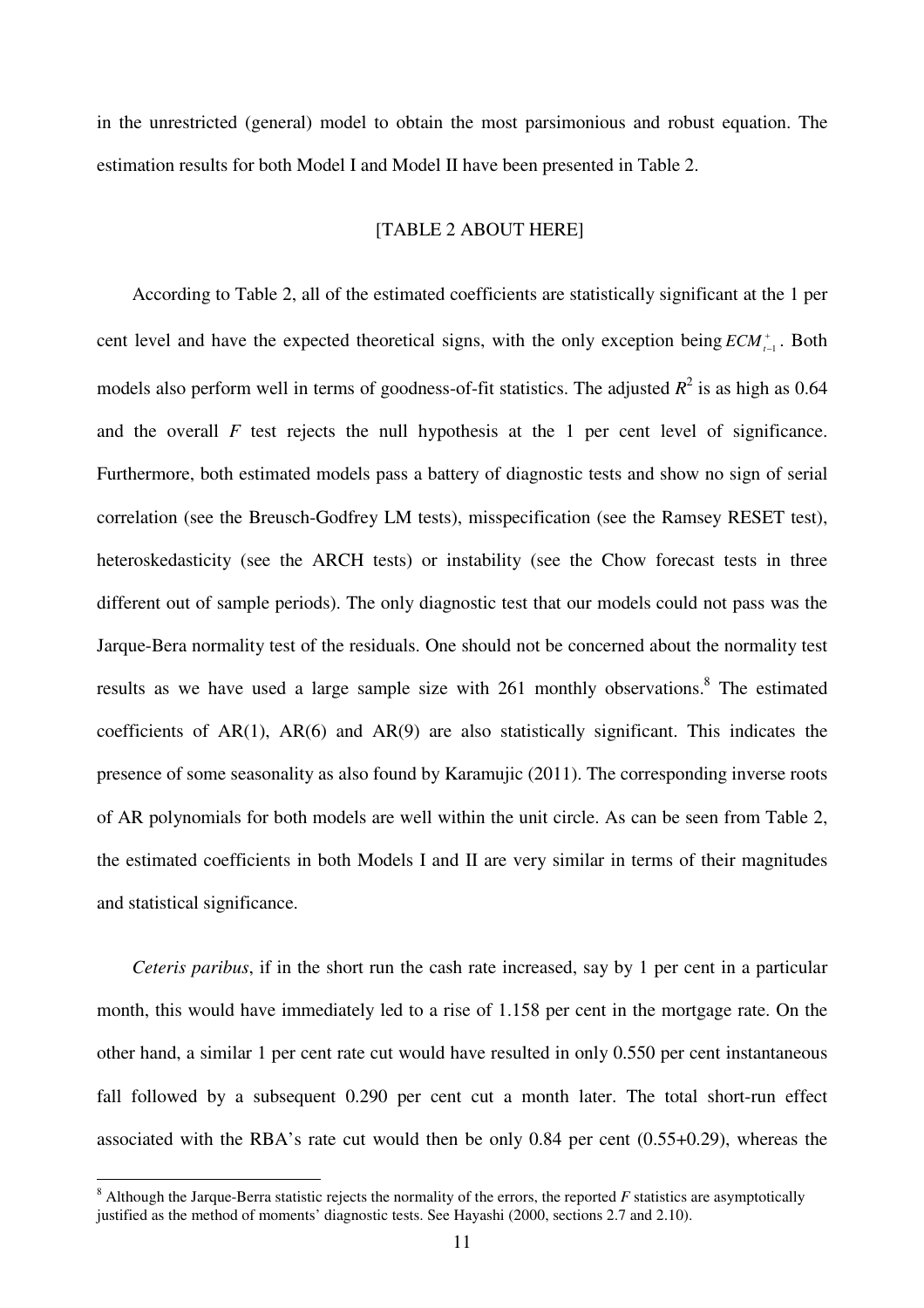in the unrestricted (general) model to obtain the most parsimonious and robust equation. The estimation results for both Model I and Model II have been presented in Table 2.

# [TABLE 2 ABOUT HERE]

According to Table 2, all of the estimated coefficients are statistically significant at the 1 per cent level and have the expected theoretical signs, with the only exception being  $ECM_{t-1}^+$  $_{-1}^{\circ}$ . Both models also perform well in terms of goodness-of-fit statistics. The adjusted  $R^2$  is as high as 0.64 and the overall  $F$  test rejects the null hypothesis at the 1 per cent level of significance. Furthermore, both estimated models pass a battery of diagnostic tests and show no sign of serial correlation (see the Breusch-Godfrey LM tests), misspecification (see the Ramsey RESET test), heteroskedasticity (see the ARCH tests) or instability (see the Chow forecast tests in three different out of sample periods). The only diagnostic test that our models could not pass was the Jarque-Bera normality test of the residuals. One should not be concerned about the normality test results as we have used a large sample size with  $261$  monthly observations.<sup>8</sup> The estimated coefficients of  $AR(1)$ ,  $AR(6)$  and  $AR(9)$  are also statistically significant. This indicates the presence of some seasonality as also found by Karamujic (2011). The corresponding inverse roots of AR polynomials for both models are well within the unit circle. As can be seen from Table 2, the estimated coefficients in both Models I and II are very similar in terms of their magnitudes and statistical significance.

*Ceteris paribus*, if in the short run the cash rate increased, say by 1 per cent in a particular month, this would have immediately led to a rise of 1.158 per cent in the mortgage rate. On the other hand, a similar 1 per cent rate cut would have resulted in only 0.550 per cent instantaneous fall followed by a subsequent 0.290 per cent cut a month later. The total short-run effect associated with the RBA's rate cut would then be only 0.84 per cent (0.55+0.29), whereas the

 $8$  Although the Jarque-Berra statistic rejects the normality of the errors, the reported  $F$  statistics are asymptotically justified as the method of moments' diagnostic tests. See Hayashi (2000, sections 2.7 and 2.10).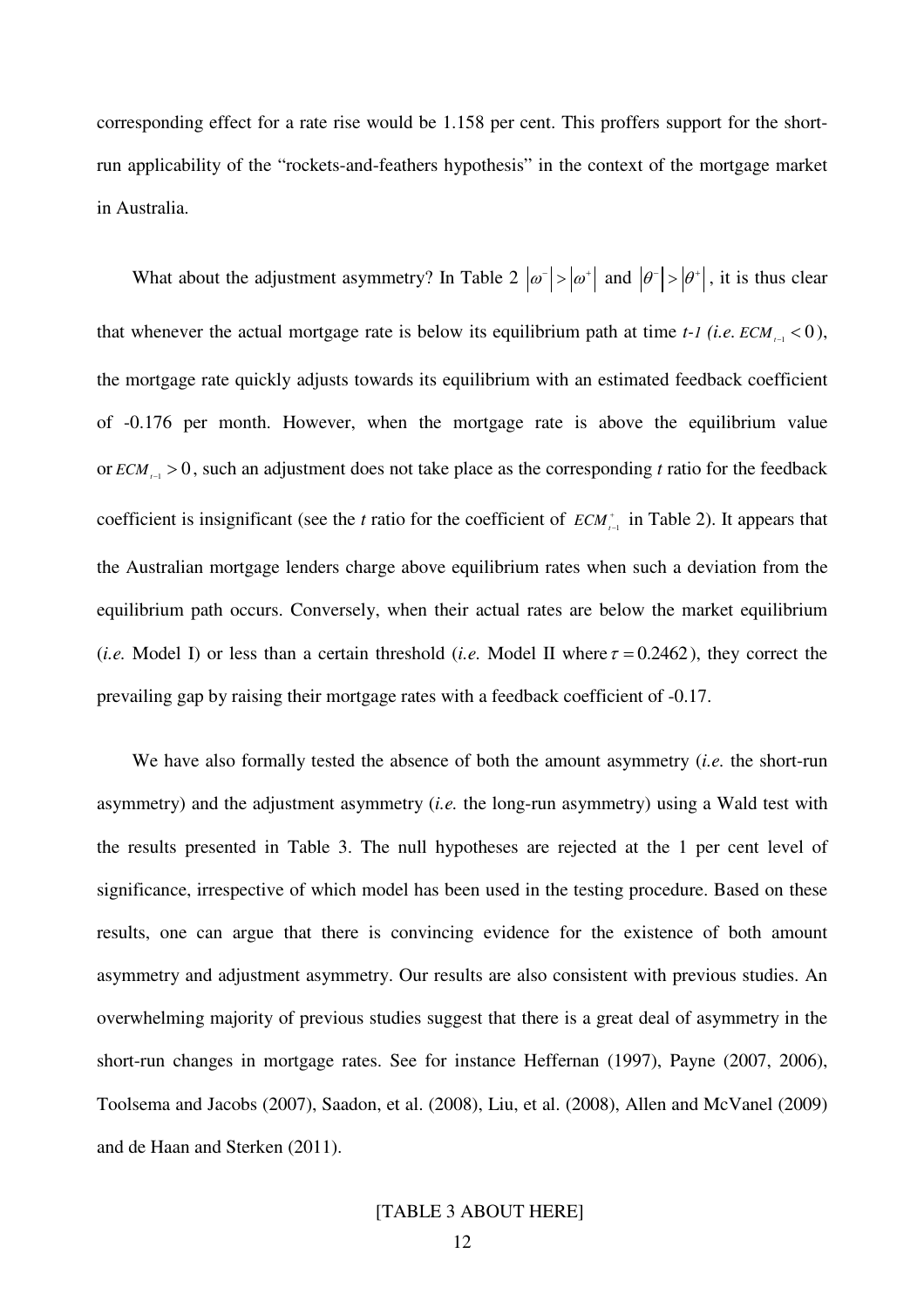corresponding effect for a rate rise would be 1.158 per cent. This proffers support for the shortrun applicability of the "rockets-and-feathers hypothesis" in the context of the mortgage market in Australia.

What about the adjustment asymmetry? In Table 2  $|\omega^-| > |\omega^+|$  and  $|\theta^-| > |\theta^+|$ , it is thus clear that whenever the actual mortgage rate is below its equilibrium path at time  $t$ -*1* (*i.e.*  $ECM_{t-1}$  < 0), the mortgage rate quickly adjusts towards its equilibrium with an estimated feedback coefficient of -0.176 per month. However, when the mortgage rate is above the equilibrium value or  $ECM_{t-1} > 0$ , such an adjustment does not take place as the corresponding *t* ratio for the feedback coefficient is insignificant (see the *t* ratio for the coefficient of  $ECM_{t-1}^+$  $\int_{-1}$  in Table 2). It appears that the Australian mortgage lenders charge above equilibrium rates when such a deviation from the equilibrium path occurs. Conversely, when their actual rates are below the market equilibrium (*i.e.* Model I) or less than a certain threshold (*i.e.* Model II where  $\tau = 0.2462$ ), they correct the prevailing gap by raising their mortgage rates with a feedback coefficient of -0.17.

We have also formally tested the absence of both the amount asymmetry (*i.e.* the short-run asymmetry) and the adjustment asymmetry (*i.e.* the long-run asymmetry) using a Wald test with the results presented in Table 3. The null hypotheses are rejected at the 1 per cent level of significance, irrespective of which model has been used in the testing procedure. Based on these results, one can argue that there is convincing evidence for the existence of both amount asymmetry and adjustment asymmetry. Our results are also consistent with previous studies. An overwhelming majority of previous studies suggest that there is a great deal of asymmetry in the short-run changes in mortgage rates. See for instance Heffernan (1997), Payne (2007, 2006), Toolsema and Jacobs (2007), Saadon, et al. (2008), Liu, et al. (2008), Allen and McVanel (2009) and de Haan and Sterken (2011).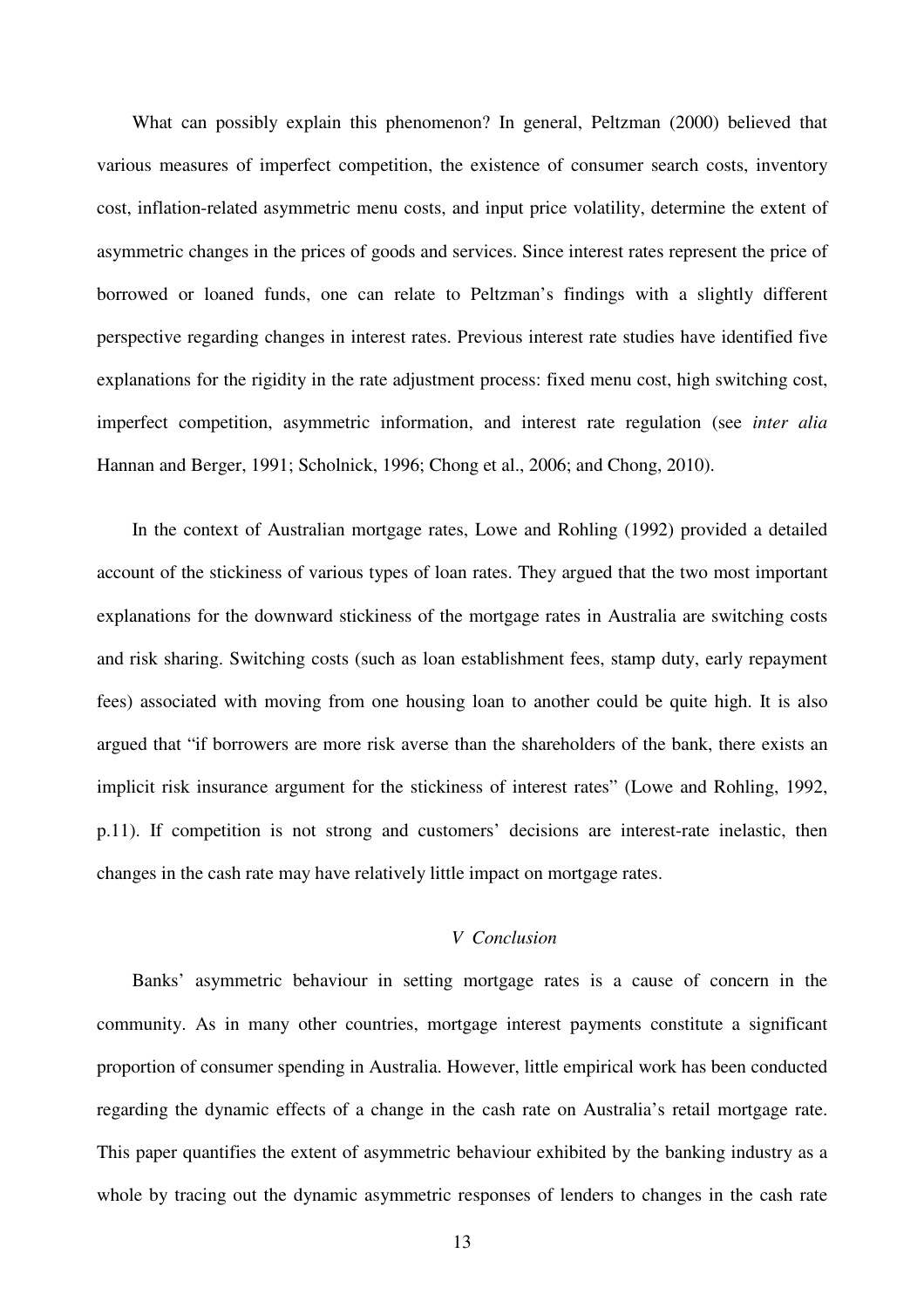What can possibly explain this phenomenon? In general, Peltzman (2000) believed that various measures of imperfect competition, the existence of consumer search costs, inventory cost, inflation-related asymmetric menu costs, and input price volatility, determine the extent of asymmetric changes in the prices of goods and services. Since interest rates represent the price of borrowed or loaned funds, one can relate to Peltzman's findings with a slightly different perspective regarding changes in interest rates. Previous interest rate studies have identified five explanations for the rigidity in the rate adjustment process: fixed menu cost, high switching cost, imperfect competition, asymmetric information, and interest rate regulation (see *inter alia* Hannan and Berger, 1991; Scholnick, 1996; Chong et al., 2006; and Chong, 2010).

In the context of Australian mortgage rates, Lowe and Rohling (1992) provided a detailed account of the stickiness of various types of loan rates. They argued that the two most important explanations for the downward stickiness of the mortgage rates in Australia are switching costs and risk sharing. Switching costs (such as loan establishment fees, stamp duty, early repayment fees) associated with moving from one housing loan to another could be quite high. It is also argued that "if borrowers are more risk averse than the shareholders of the bank, there exists an implicit risk insurance argument for the stickiness of interest rates" (Lowe and Rohling, 1992, p.11). If competition is not strong and customers' decisions are interest-rate inelastic, then changes in the cash rate may have relatively little impact on mortgage rates.

#### *V Conclusion*

Banks' asymmetric behaviour in setting mortgage rates is a cause of concern in the community. As in many other countries, mortgage interest payments constitute a significant proportion of consumer spending in Australia. However, little empirical work has been conducted regarding the dynamic effects of a change in the cash rate on Australia's retail mortgage rate. This paper quantifies the extent of asymmetric behaviour exhibited by the banking industry as a whole by tracing out the dynamic asymmetric responses of lenders to changes in the cash rate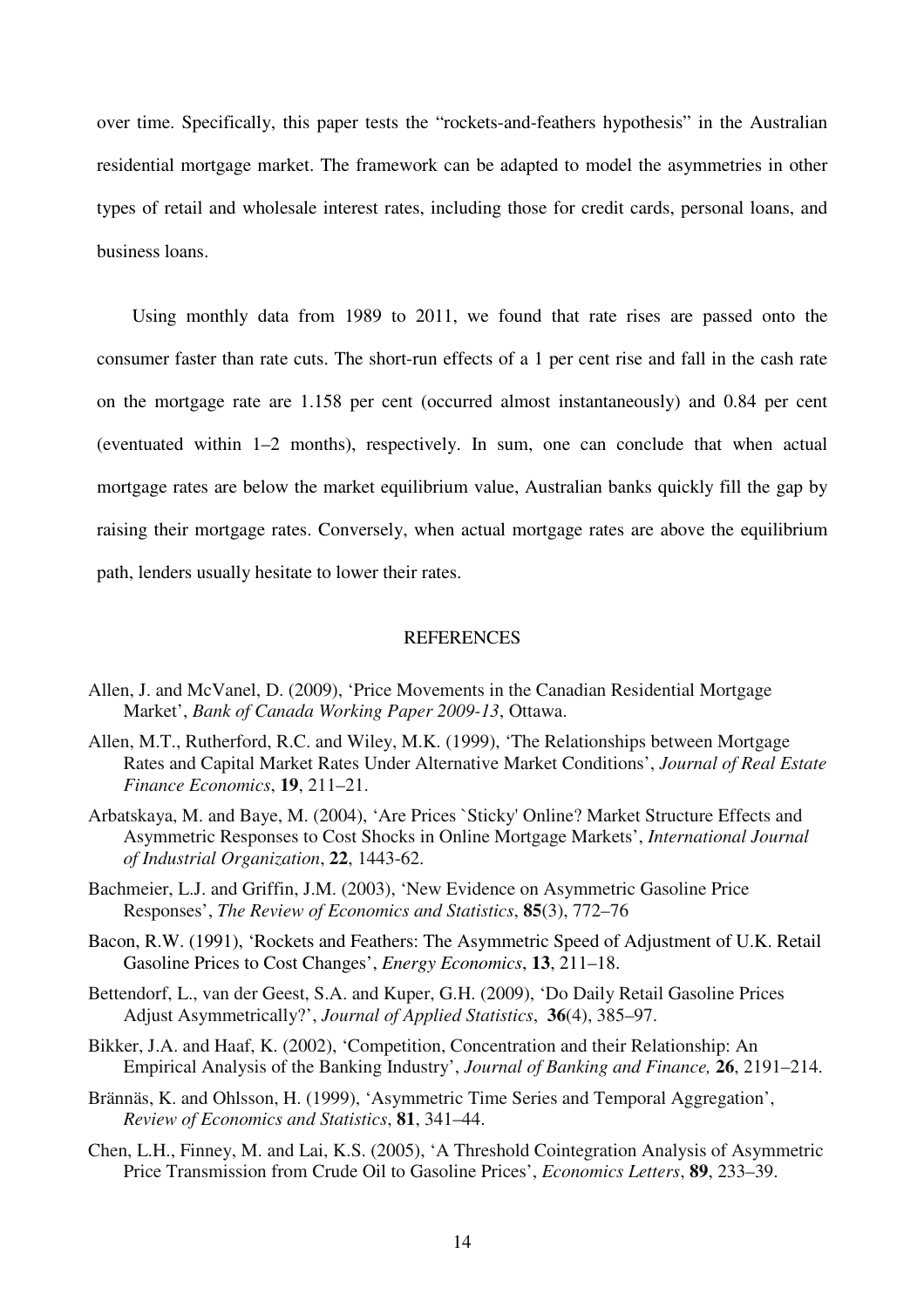over time. Specifically, this paper tests the "rockets-and-feathers hypothesis" in the Australian residential mortgage market. The framework can be adapted to model the asymmetries in other types of retail and wholesale interest rates, including those for credit cards, personal loans, and business loans.

Using monthly data from 1989 to 2011, we found that rate rises are passed onto the consumer faster than rate cuts. The short-run effects of a 1 per cent rise and fall in the cash rate on the mortgage rate are 1.158 per cent (occurred almost instantaneously) and 0.84 per cent (eventuated within 1–2 months), respectively. In sum, one can conclude that when actual mortgage rates are below the market equilibrium value, Australian banks quickly fill the gap by raising their mortgage rates. Conversely, when actual mortgage rates are above the equilibrium path, lenders usually hesitate to lower their rates.

#### **REFERENCES**

- Allen, J. and McVanel, D. (2009), 'Price Movements in the Canadian Residential Mortgage Market', *Bank of Canada Working Paper 2009-13*, Ottawa.
- Allen, M.T., Rutherford, R.C. and Wiley, M.K. (1999), 'The Relationships between Mortgage Rates and Capital Market Rates Under Alternative Market Conditions', *Journal of Real Estate Finance Economics*, **19**, 211–21.
- Arbatskaya, M. and Baye, M. (2004), 'Are Prices `Sticky' Online? Market Structure Effects and Asymmetric Responses to Cost Shocks in Online Mortgage Markets', *International Journal of Industrial Organization*, **22**, 1443-62.
- Bachmeier, L.J. and Griffin, J.M. (2003), 'New Evidence on Asymmetric Gasoline Price Responses', *The Review of Economics and Statistics*, **85**(3), 772–76
- Bacon, R.W. (1991), 'Rockets and Feathers: The Asymmetric Speed of Adjustment of U.K. Retail Gasoline Prices to Cost Changes', *Energy Economics*, **13**, 211–18.
- Bettendorf, L., van der Geest, S.A. and Kuper, G.H. (2009), 'Do Daily Retail Gasoline Prices Adjust Asymmetrically?', *Journal of Applied Statistics*, **36**(4), 385–97.
- Bikker, J.A. and Haaf, K. (2002), 'Competition, Concentration and their Relationship: An Empirical Analysis of the Banking Industry', *Journal of Banking and Finance,* **26**, 2191–214.
- Brännäs, K. and Ohlsson, H. (1999), 'Asymmetric Time Series and Temporal Aggregation', *Review of Economics and Statistics*, **81**, 341–44.
- Chen, L.H., Finney, M. and Lai, K.S. (2005), 'A Threshold Cointegration Analysis of Asymmetric Price Transmission from Crude Oil to Gasoline Prices', *Economics Letters*, **89**, 233–39.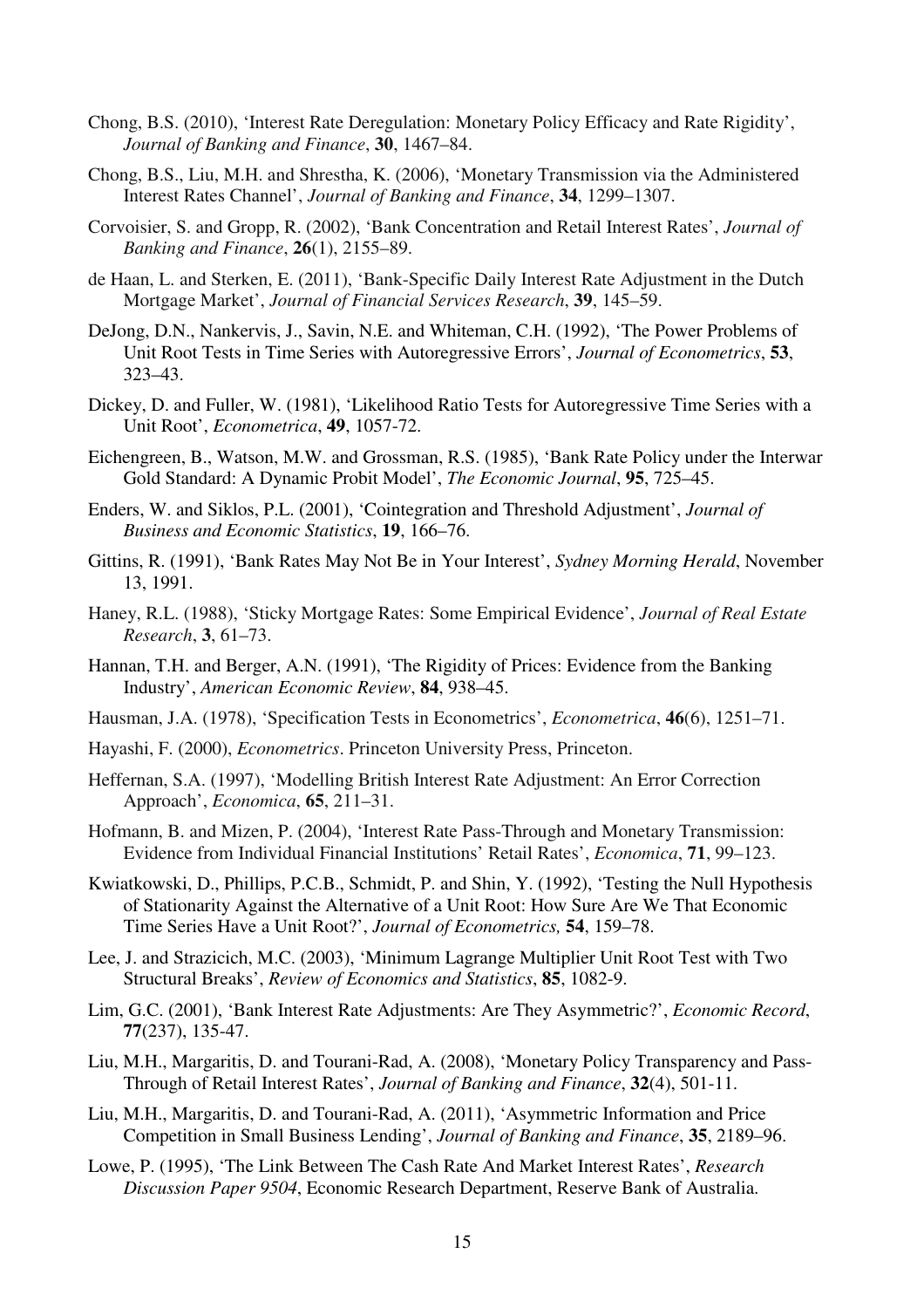- Chong, B.S. (2010), 'Interest Rate Deregulation: Monetary Policy Efficacy and Rate Rigidity', *Journal of Banking and Finance*, **30**, 1467–84.
- Chong, B.S., Liu, M.H. and Shrestha, K. (2006), 'Monetary Transmission via the Administered Interest Rates Channel', *Journal of Banking and Finance*, **34**, 1299–1307.
- Corvoisier, S. and Gropp, R. (2002), 'Bank Concentration and Retail Interest Rates', *Journal of Banking and Finance*, **26**(1), 2155–89.
- de Haan, L. and Sterken, E. (2011), 'Bank-Specific Daily Interest Rate Adjustment in the Dutch Mortgage Market', *Journal of Financial Services Research*, **39**, 145–59.
- DeJong, D.N., Nankervis, J., Savin, N.E. and Whiteman, C.H. (1992), 'The Power Problems of Unit Root Tests in Time Series with Autoregressive Errors', *Journal of Econometrics*, **53**, 323–43.
- Dickey, D. and Fuller, W. (1981), 'Likelihood Ratio Tests for Autoregressive Time Series with a Unit Root', *Econometrica*, **49**, 1057-72.
- Eichengreen, B., Watson, M.W. and Grossman, R.S. (1985), 'Bank Rate Policy under the Interwar Gold Standard: A Dynamic Probit Model', *The Economic Journal*, **95**, 725–45.
- Enders, W. and Siklos, P.L. (2001), 'Cointegration and Threshold Adjustment', *Journal of Business and Economic Statistics*, **19**, 166–76.
- Gittins, R. (1991), 'Bank Rates May Not Be in Your Interest', *Sydney Morning Herald*, November 13, 1991.
- Haney, R.L. (1988), 'Sticky Mortgage Rates: Some Empirical Evidence', *Journal of Real Estate Research*, **3**, 61–73.
- Hannan, T.H. and Berger, A.N. (1991), 'The Rigidity of Prices: Evidence from the Banking Industry', *American Economic Review*, **84**, 938–45.
- Hausman, J.A. (1978), 'Specification Tests in Econometrics', *Econometrica*, **46**(6), 1251–71.
- Hayashi, F. (2000), *Econometrics*. Princeton University Press, Princeton.
- Heffernan, S.A. (1997), 'Modelling British Interest Rate Adjustment: An Error Correction Approach', *Economica*, **65**, 211–31.
- Hofmann, B. and Mizen, P. (2004), 'Interest Rate Pass-Through and Monetary Transmission: Evidence from Individual Financial Institutions' Retail Rates', *Economica*, **71**, 99–123.
- Kwiatkowski, D., Phillips, P.C.B., Schmidt, P. and Shin, Y. (1992), 'Testing the Null Hypothesis of Stationarity Against the Alternative of a Unit Root: How Sure Are We That Economic Time Series Have a Unit Root?', *Journal of Econometrics,* **54**, 159–78.
- Lee, J. and Strazicich, M.C. (2003), 'Minimum Lagrange Multiplier Unit Root Test with Two Structural Breaks', *Review of Economics and Statistics*, **85**, 1082-9.
- Lim, G.C. (2001), 'Bank Interest Rate Adjustments: Are They Asymmetric?', *Economic Record*, **77**(237), 135-47.
- Liu, M.H., Margaritis, D. and Tourani-Rad, A. (2008), 'Monetary Policy Transparency and Pass-Through of Retail Interest Rates', *Journal of Banking and Finance*, **32**(4), 501-11.
- Liu, M.H., Margaritis, D. and Tourani-Rad, A. (2011), 'Asymmetric Information and Price Competition in Small Business Lending', *Journal of Banking and Finance*, **35**, 2189–96.
- Lowe, P. (1995), 'The Link Between The Cash Rate And Market Interest Rates', *Research Discussion Paper 9504*, Economic Research Department, Reserve Bank of Australia.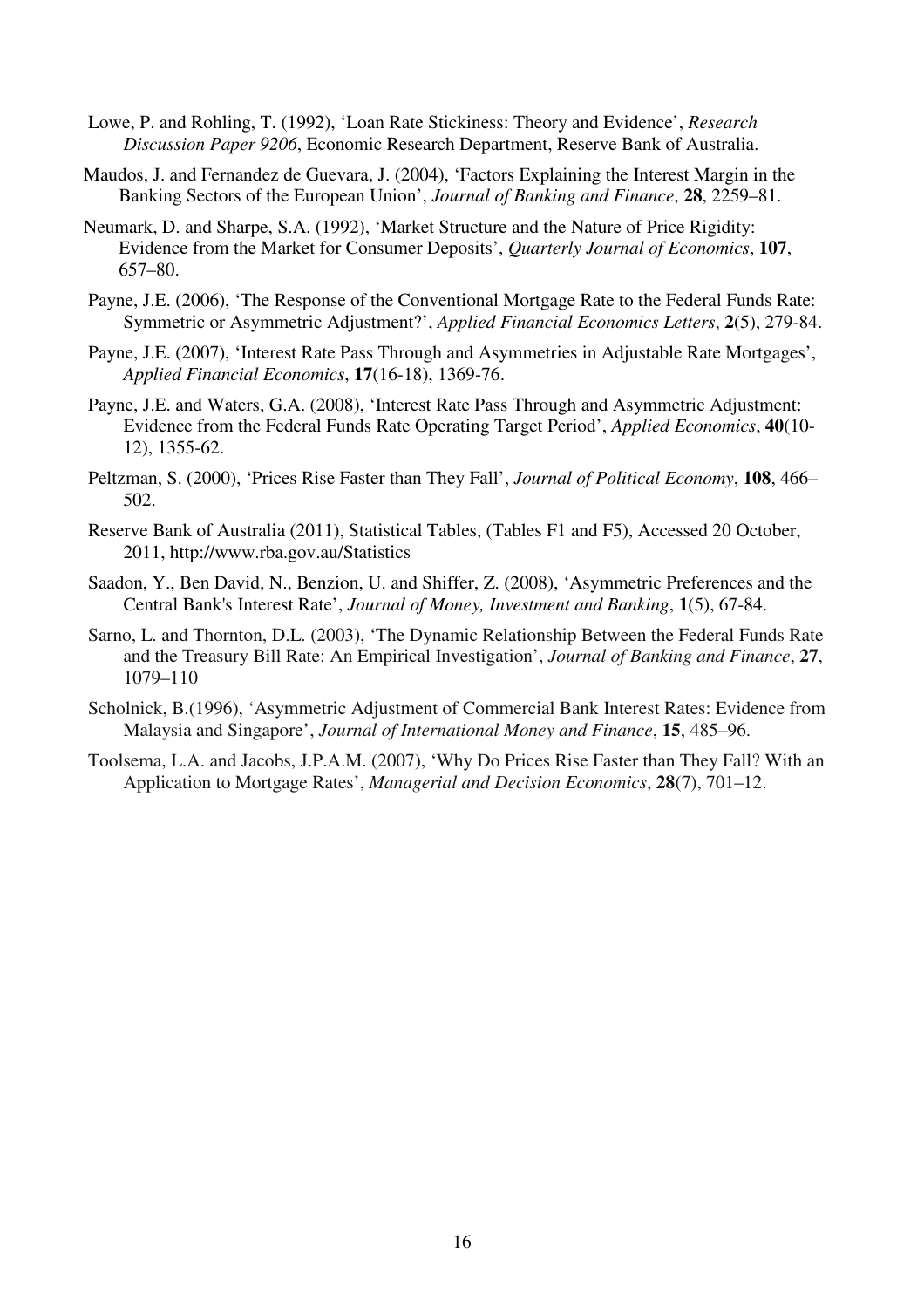- Lowe, P. and Rohling, T. (1992), 'Loan Rate Stickiness: Theory and Evidence', *Research Discussion Paper 9206*, Economic Research Department, Reserve Bank of Australia.
- Maudos, J. and Fernandez de Guevara, J. (2004), 'Factors Explaining the Interest Margin in the Banking Sectors of the European Union', *Journal of Banking and Finance*, **28**, 2259–81.
- Neumark, D. and Sharpe, S.A. (1992), 'Market Structure and the Nature of Price Rigidity: Evidence from the Market for Consumer Deposits', *Quarterly Journal of Economics*, **107**, 657–80.
- Payne, J.E. (2006), 'The Response of the Conventional Mortgage Rate to the Federal Funds Rate: Symmetric or Asymmetric Adjustment?', *Applied Financial Economics Letters*, **2**(5), 279-84.
- Payne, J.E. (2007), 'Interest Rate Pass Through and Asymmetries in Adjustable Rate Mortgages', *Applied Financial Economics*, **17**(16-18), 1369-76.
- Payne, J.E. and Waters, G.A. (2008), 'Interest Rate Pass Through and Asymmetric Adjustment: Evidence from the Federal Funds Rate Operating Target Period', *Applied Economics*, **40**(10- 12), 1355-62.
- Peltzman, S. (2000), 'Prices Rise Faster than They Fall', *Journal of Political Economy*, **108**, 466– 502.
- Reserve Bank of Australia (2011), Statistical Tables, (Tables F1 and F5), Accessed 20 October, 2011, http://www.rba.gov.au/Statistics
- Saadon, Y., Ben David, N., Benzion, U. and Shiffer, Z. (2008), 'Asymmetric Preferences and the Central Bank's Interest Rate', *Journal of Money, Investment and Banking*, **1**(5), 67-84.
- Sarno, L. and Thornton, D.L. (2003), 'The Dynamic Relationship Between the Federal Funds Rate and the Treasury Bill Rate: An Empirical Investigation', *Journal of Banking and Finance*, **27**, 1079–110
- Scholnick, B.(1996), 'Asymmetric Adjustment of Commercial Bank Interest Rates: Evidence from Malaysia and Singapore', *Journal of International Money and Finance*, **15**, 485–96.
- Toolsema, L.A. and Jacobs, J.P.A.M. (2007), 'Why Do Prices Rise Faster than They Fall? With an Application to Mortgage Rates', *Managerial and Decision Economics*, **28**(7), 701–12.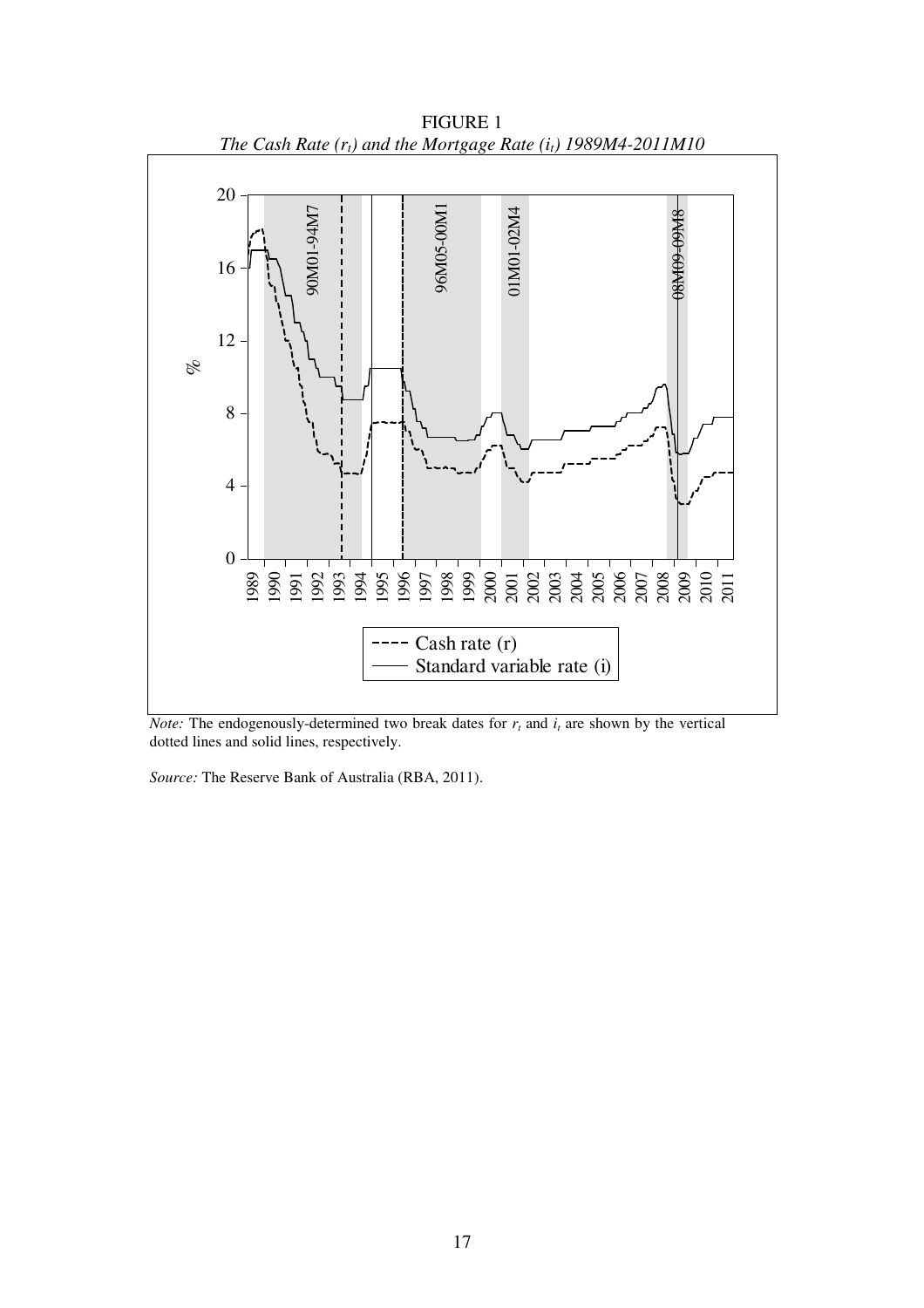

FIGURE 1 *The Cash Rate (rt) and the Mortgage Rate (it) 1989M4-2011M10* 

*Note:* The endogenously-determined two break dates for  $r<sub>t</sub>$  and  $i<sub>t</sub>$  are shown by the vertical dotted lines and solid lines, respectively.

*Source:* The Reserve Bank of Australia (RBA, 2011).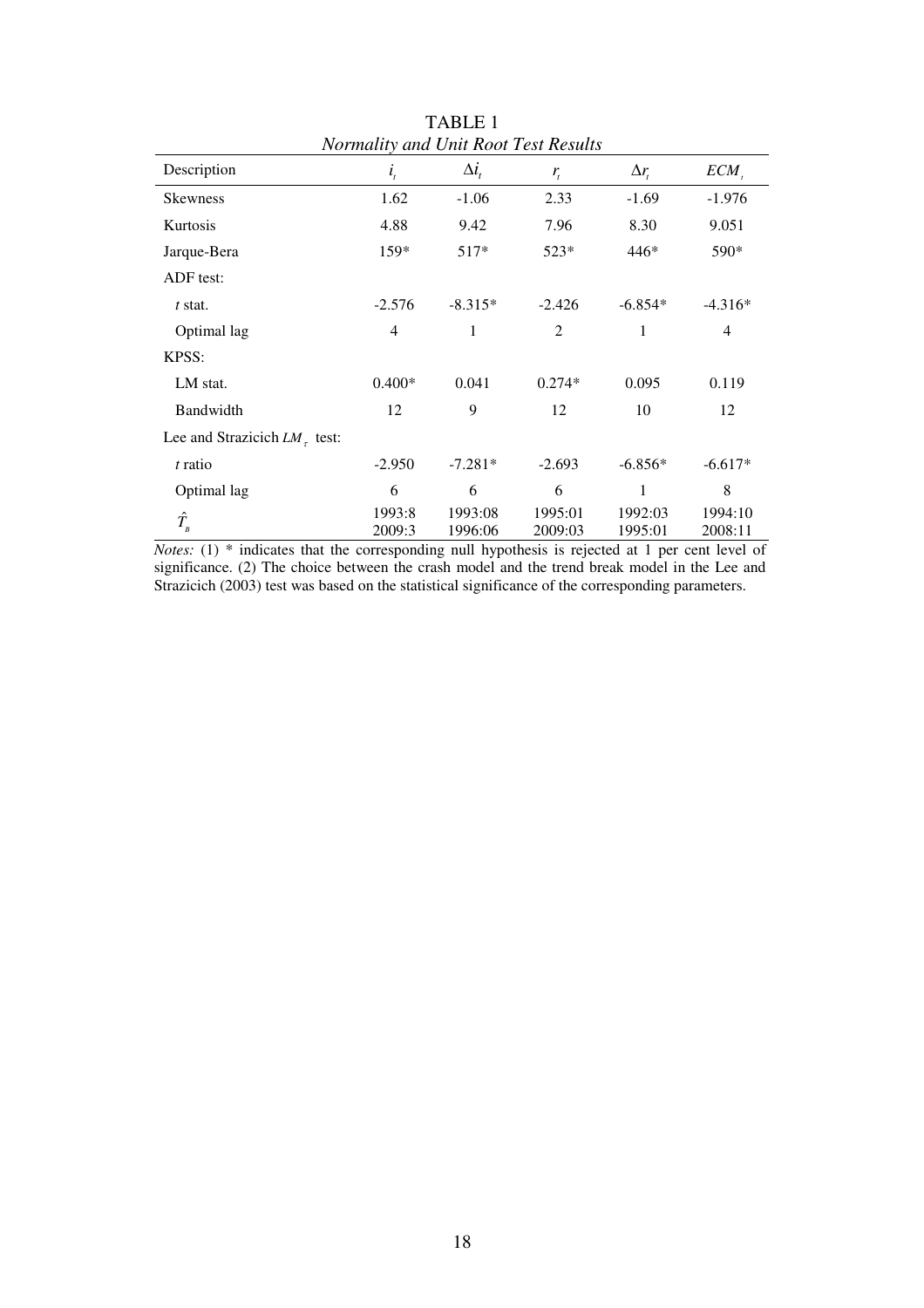|                                      |                  |                    | <i>Liothanny and Onn Root Lest Resins</i> |                    |                    |
|--------------------------------------|------------------|--------------------|-------------------------------------------|--------------------|--------------------|
| Description                          | $i_{t}$          | $\Delta i$ ,       | $r_{t}$                                   | $\Delta r$         | $ECM_{.}$          |
| <b>Skewness</b>                      | 1.62             | $-1.06$            | 2.33                                      | $-1.69$            | $-1.976$           |
| Kurtosis                             | 4.88             | 9.42               | 7.96                                      | 8.30               | 9.051              |
| Jarque-Bera                          | 159*             | $517*$             | 523*                                      | 446*               | 590*               |
| ADF test:                            |                  |                    |                                           |                    |                    |
| $t$ stat.                            | $-2.576$         | $-8.315*$          | $-2.426$                                  | $-6.854*$          | $-4.316*$          |
| Optimal lag                          | 4                | 1                  | 2                                         | 1                  | 4                  |
| KPSS:                                |                  |                    |                                           |                    |                    |
| LM stat.                             | $0.400*$         | 0.041              | $0.274*$                                  | 0.095              | 0.119              |
| Bandwidth                            | 12               | 9                  | 12                                        | 10                 | 12                 |
| Lee and Strazicich $LM_{\tau}$ test: |                  |                    |                                           |                    |                    |
| t ratio                              | $-2.950$         | $-7.281*$          | $-2.693$                                  | $-6.856*$          | $-6.617*$          |
| Optimal lag                          | 6                | 6                  | 6                                         | 1                  | 8                  |
| $\hat{T_{_B}}$                       | 1993:8<br>2009:3 | 1993:08<br>1996:06 | 1995:01<br>2009:03                        | 1992:03<br>1995:01 | 1994:10<br>2008:11 |

TABLE 1 *Normality and Unit Root Test Results* 

*Notes:* (1) \* indicates that the corresponding null hypothesis is rejected at 1 per cent level of significance. (2) The choice between the crash model and the trend break model in the Lee and Strazicich (2003) test was based on the statistical significance of the corresponding parameters.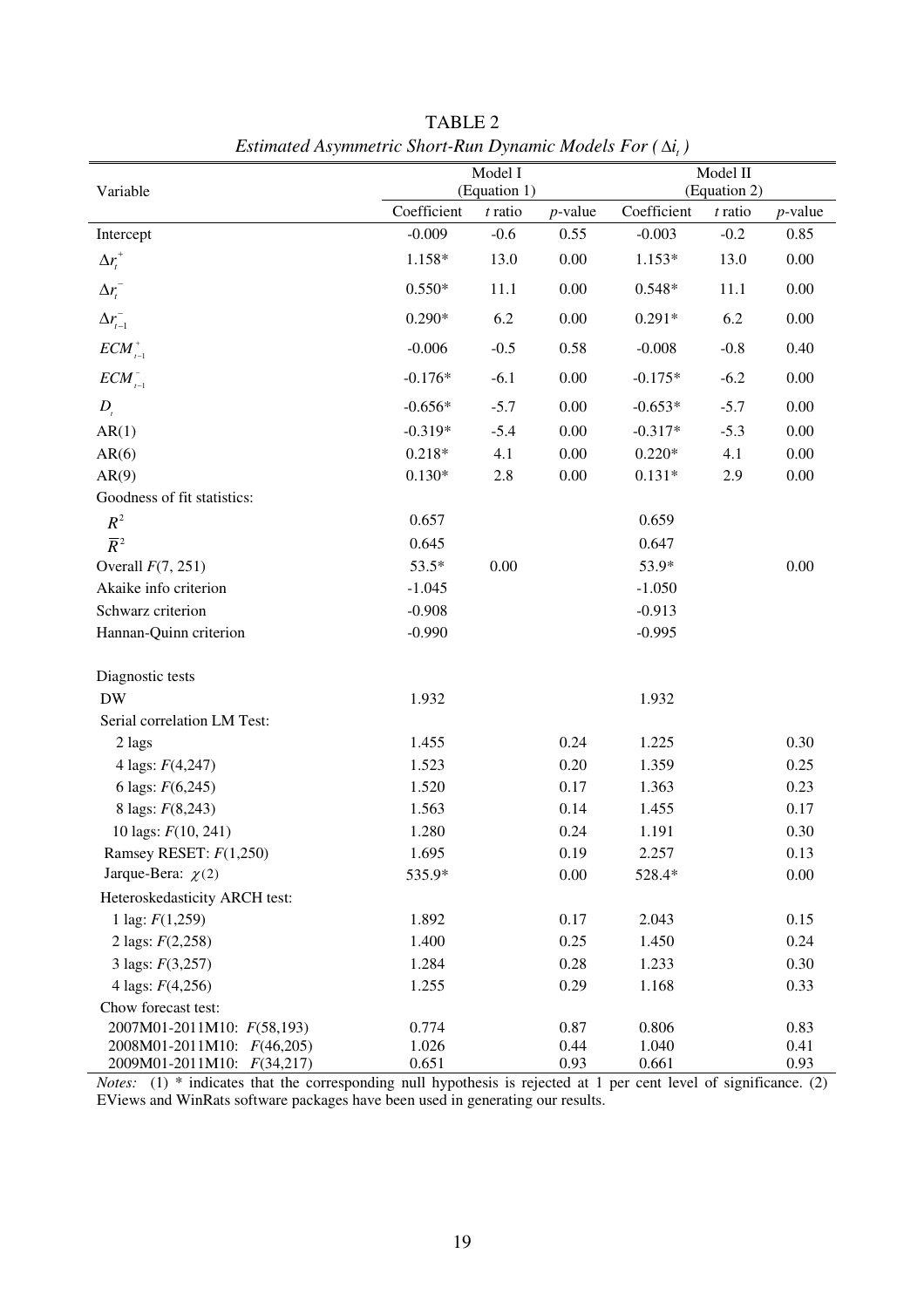| Coefficient<br>Coefficient<br>$t$ ratio<br>$t$ ratio<br>$p$ -value<br>$p$ -value<br>$-0.009$<br>$-0.003$<br>$-0.2$<br>0.85<br>$-0.6$<br>0.55<br>Intercept<br>$\Delta r_t^+$<br>0.00<br>13.0<br>1.158*<br>13.0<br>1.153*<br>0.00<br>$0.550*$<br>0.00<br>$\Delta r_{t}^{-}$<br>11.1<br>$0.548*$<br>11.1<br>0.00<br>$\Delta r_{t-1}^{-}$<br>$0.290*$<br>6.2<br>0.00<br>6.2<br>$0.00\,$<br>$0.291*$<br>$ECM_{t-1}^+$<br>$-0.006$<br>$-0.5$<br>0.58<br>$-0.008$<br>$-0.8$<br>0.40<br>$\textit{ECM}^-_{\scriptscriptstyle t-1}$<br>0.00<br>$-0.176*$<br>$-6.1$<br>$-0.175*$<br>$-6.2$<br>0.00<br>0.00<br>$D_{i}$<br>$-0.656*$<br>$-5.7$<br>$-0.653*$<br>$-5.7$<br>0.00<br>$-0.319*$<br>$-5.4$<br>0.00<br>AR(1)<br>$-0.317*$<br>$-5.3$<br>0.00<br>4.1<br>0.00<br>$0.00\,$<br>AR(6)<br>$0.218*$<br>$0.220*$<br>4.1<br>$2.8\,$<br>0.00<br>$0.00\,$<br>AR(9)<br>$0.130*$<br>$0.131*$<br>2.9 | Variable | Model I<br>(Equation 1) |  |  | Model II<br>(Equation 2) |  |  |
|-----------------------------------------------------------------------------------------------------------------------------------------------------------------------------------------------------------------------------------------------------------------------------------------------------------------------------------------------------------------------------------------------------------------------------------------------------------------------------------------------------------------------------------------------------------------------------------------------------------------------------------------------------------------------------------------------------------------------------------------------------------------------------------------------------------------------------------------------------------------------------------|----------|-------------------------|--|--|--------------------------|--|--|
|                                                                                                                                                                                                                                                                                                                                                                                                                                                                                                                                                                                                                                                                                                                                                                                                                                                                                   |          |                         |  |  |                          |  |  |
|                                                                                                                                                                                                                                                                                                                                                                                                                                                                                                                                                                                                                                                                                                                                                                                                                                                                                   |          |                         |  |  |                          |  |  |
|                                                                                                                                                                                                                                                                                                                                                                                                                                                                                                                                                                                                                                                                                                                                                                                                                                                                                   |          |                         |  |  |                          |  |  |
|                                                                                                                                                                                                                                                                                                                                                                                                                                                                                                                                                                                                                                                                                                                                                                                                                                                                                   |          |                         |  |  |                          |  |  |
|                                                                                                                                                                                                                                                                                                                                                                                                                                                                                                                                                                                                                                                                                                                                                                                                                                                                                   |          |                         |  |  |                          |  |  |
|                                                                                                                                                                                                                                                                                                                                                                                                                                                                                                                                                                                                                                                                                                                                                                                                                                                                                   |          |                         |  |  |                          |  |  |
|                                                                                                                                                                                                                                                                                                                                                                                                                                                                                                                                                                                                                                                                                                                                                                                                                                                                                   |          |                         |  |  |                          |  |  |
|                                                                                                                                                                                                                                                                                                                                                                                                                                                                                                                                                                                                                                                                                                                                                                                                                                                                                   |          |                         |  |  |                          |  |  |
|                                                                                                                                                                                                                                                                                                                                                                                                                                                                                                                                                                                                                                                                                                                                                                                                                                                                                   |          |                         |  |  |                          |  |  |
|                                                                                                                                                                                                                                                                                                                                                                                                                                                                                                                                                                                                                                                                                                                                                                                                                                                                                   |          |                         |  |  |                          |  |  |
|                                                                                                                                                                                                                                                                                                                                                                                                                                                                                                                                                                                                                                                                                                                                                                                                                                                                                   |          |                         |  |  |                          |  |  |
| Goodness of fit statistics:                                                                                                                                                                                                                                                                                                                                                                                                                                                                                                                                                                                                                                                                                                                                                                                                                                                       |          |                         |  |  |                          |  |  |
| $R^2$<br>0.657<br>0.659                                                                                                                                                                                                                                                                                                                                                                                                                                                                                                                                                                                                                                                                                                                                                                                                                                                           |          |                         |  |  |                          |  |  |
| $\overline{R}^2$<br>0.645<br>0.647                                                                                                                                                                                                                                                                                                                                                                                                                                                                                                                                                                                                                                                                                                                                                                                                                                                |          |                         |  |  |                          |  |  |
| 53.5*<br>0.00<br>53.9*<br>$0.00\,$<br>Overall $F(7, 251)$                                                                                                                                                                                                                                                                                                                                                                                                                                                                                                                                                                                                                                                                                                                                                                                                                         |          |                         |  |  |                          |  |  |
| Akaike info criterion<br>$-1.045$<br>$-1.050$                                                                                                                                                                                                                                                                                                                                                                                                                                                                                                                                                                                                                                                                                                                                                                                                                                     |          |                         |  |  |                          |  |  |
| Schwarz criterion<br>$-0.908$<br>$-0.913$                                                                                                                                                                                                                                                                                                                                                                                                                                                                                                                                                                                                                                                                                                                                                                                                                                         |          |                         |  |  |                          |  |  |
| Hannan-Quinn criterion<br>$-0.990$<br>$-0.995$                                                                                                                                                                                                                                                                                                                                                                                                                                                                                                                                                                                                                                                                                                                                                                                                                                    |          |                         |  |  |                          |  |  |
| Diagnostic tests                                                                                                                                                                                                                                                                                                                                                                                                                                                                                                                                                                                                                                                                                                                                                                                                                                                                  |          |                         |  |  |                          |  |  |
| <b>DW</b><br>1.932<br>1.932                                                                                                                                                                                                                                                                                                                                                                                                                                                                                                                                                                                                                                                                                                                                                                                                                                                       |          |                         |  |  |                          |  |  |
| Serial correlation LM Test:                                                                                                                                                                                                                                                                                                                                                                                                                                                                                                                                                                                                                                                                                                                                                                                                                                                       |          |                         |  |  |                          |  |  |
| 1.455<br>0.24<br>1.225<br>0.30<br>2 lags                                                                                                                                                                                                                                                                                                                                                                                                                                                                                                                                                                                                                                                                                                                                                                                                                                          |          |                         |  |  |                          |  |  |
| 1.523<br>0.20<br>1.359<br>0.25<br>4 lags: $F(4,247)$                                                                                                                                                                                                                                                                                                                                                                                                                                                                                                                                                                                                                                                                                                                                                                                                                              |          |                         |  |  |                          |  |  |
| 6 lags: $F(6,245)$<br>1.520<br>0.17<br>1.363<br>0.23                                                                                                                                                                                                                                                                                                                                                                                                                                                                                                                                                                                                                                                                                                                                                                                                                              |          |                         |  |  |                          |  |  |
| 8 lags: $F(8,243)$<br>1.563<br>0.14<br>1.455<br>0.17                                                                                                                                                                                                                                                                                                                                                                                                                                                                                                                                                                                                                                                                                                                                                                                                                              |          |                         |  |  |                          |  |  |
| 1.280<br>10 lags: $F(10, 241)$<br>0.24<br>1.191<br>0.30                                                                                                                                                                                                                                                                                                                                                                                                                                                                                                                                                                                                                                                                                                                                                                                                                           |          |                         |  |  |                          |  |  |
| Ramsey RESET: F(1,250)<br>1.695<br>0.19<br>2.257<br>0.13                                                                                                                                                                                                                                                                                                                                                                                                                                                                                                                                                                                                                                                                                                                                                                                                                          |          |                         |  |  |                          |  |  |
| Jarque-Bera: $\chi(2)$<br>0.00<br>0.00<br>535.9*<br>528.4*                                                                                                                                                                                                                                                                                                                                                                                                                                                                                                                                                                                                                                                                                                                                                                                                                        |          |                         |  |  |                          |  |  |
| Heteroskedasticity ARCH test:                                                                                                                                                                                                                                                                                                                                                                                                                                                                                                                                                                                                                                                                                                                                                                                                                                                     |          |                         |  |  |                          |  |  |
| 1 lag: $F(1,259)$<br>1.892<br>0.17<br>2.043<br>0.15                                                                                                                                                                                                                                                                                                                                                                                                                                                                                                                                                                                                                                                                                                                                                                                                                               |          |                         |  |  |                          |  |  |
| 1.400<br>0.25<br>0.24<br>2 lags: $F(2,258)$<br>1.450                                                                                                                                                                                                                                                                                                                                                                                                                                                                                                                                                                                                                                                                                                                                                                                                                              |          |                         |  |  |                          |  |  |
| 3 lags: $F(3,257)$<br>1.284<br>0.28<br>1.233<br>0.30                                                                                                                                                                                                                                                                                                                                                                                                                                                                                                                                                                                                                                                                                                                                                                                                                              |          |                         |  |  |                          |  |  |
| 0.29<br>4 lags: $F(4,256)$<br>1.255<br>1.168<br>0.33                                                                                                                                                                                                                                                                                                                                                                                                                                                                                                                                                                                                                                                                                                                                                                                                                              |          |                         |  |  |                          |  |  |
| Chow forecast test:                                                                                                                                                                                                                                                                                                                                                                                                                                                                                                                                                                                                                                                                                                                                                                                                                                                               |          |                         |  |  |                          |  |  |
| 2007M01-2011M10: F(58,193)<br>0.774<br>0.87<br>0.806<br>0.83                                                                                                                                                                                                                                                                                                                                                                                                                                                                                                                                                                                                                                                                                                                                                                                                                      |          |                         |  |  |                          |  |  |
| 2008M01-2011M10: F(46,205)<br>1.026<br>0.44<br>1.040<br>0.41<br>0.93<br>0.651<br>0.661<br>0.93<br>2009M01-2011M10: F(34,217)                                                                                                                                                                                                                                                                                                                                                                                                                                                                                                                                                                                                                                                                                                                                                      |          |                         |  |  |                          |  |  |

TABLE 2 *Estimated Asymmetric Short-Run Dynamic Models For (* $\Delta$ *<i>i*, )

*Notes:* (1) \* indicates that the corresponding null hypothesis is rejected at 1 per cent level of significance. (2) EViews and WinRats software packages have been used in generating our results.